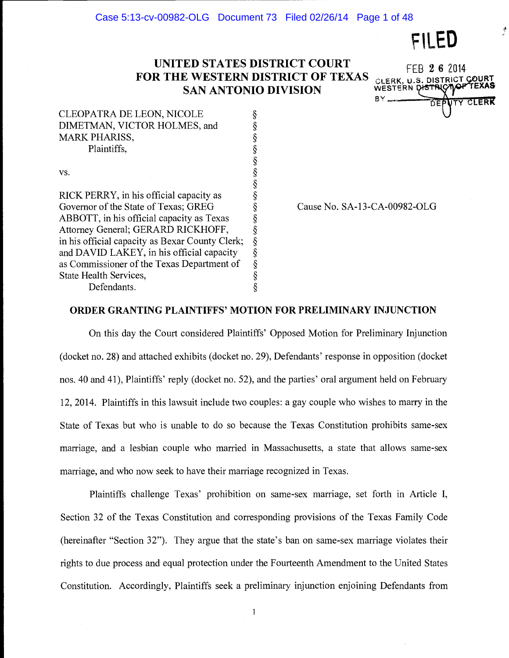FILED

## UNITED STATES DISTRICT COURT FOR THE WESTERN DISTRICT OF TEXAS <sub>CLERK</sub>. SAN ANTONIO DIVISION

§

§

FEB 2 6 2014 CLERK, U.S. DISTRICT COURT MERK

| CLEOPATRA DE LEON, NICOLE    |        |
|------------------------------|--------|
| DIMETMAN, VICTOR HOLMES, and |        |
| <b>MARK PHARISS,</b>         |        |
| Plaintiffs.                  |        |
|                              | $\sim$ |

vs.  $\S$ 

RICK PERRY, in his official capacity as Governor of the State of Texas; GREG ABBOTT, in his official capacity as Texas Attorney General; GERARD RICKHOFF, in his official capacity as Bexar County Clerk; and DAVID LAKEY, in his official capacity as Commissioner of the Texas Department of State Health Services,  $\S$ <br>Defendants.  $\S$ Defendants.

Cause No. SA-13-CA-00982-OLG

## ORDER GRANTING PLAINTIFFS' MOTION FOR PRELIMINARY INJUNCTION

On this day the Court considered Plaintiffs' Opposed Motion for Preliminary Injunction (docket no. 28) and attached exhibits (docket no. 29), Defendants' response in opposition (docket nos. 40 and 41), Plaintiffs' reply (docket no. 52), and the parties' oral argument held on February 12, 2014. Plaintiffs in this lawsuit include two couples: a gay couple who wishes to marry in the State of Texas but who is unable to do so because the Texas Constitution prohibits same-sex marriage, and a lesbian couple who married in Massachusetts, a state that allows same-sex marriage, and who now seek to have their marriage recognized in Texas.

Plaintiffs challenge Texas' prohibition on same-sex marriage, set forth in Article I, Section 32 of the Texas Constitution and corresponding provisions of the Texas Family Code (hereinafter "Section 32"). They argue that the state's ban on same-sex marriage violates their rights to due process and equal protection under the Fourteenth Amendment to the United States Constitution. Accordingly, Plaintiffs seek a preliminary injunction enjoining Defendants from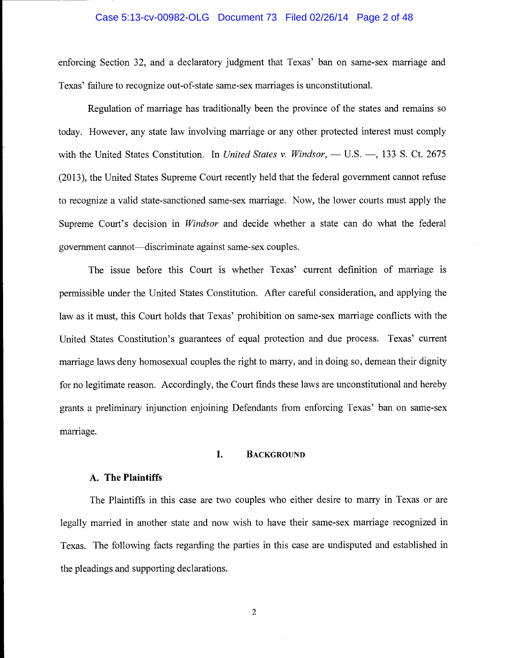#### Case 5:13-cv-00982-OLG Document 73 Filed 02/26/14 Page 2 of 48

enforcing Section 32, and a declaratory judgment that Texas' ban on same-sex marriage and Texas' failure to recognize out-of-state same-sex marriages is unconstitutional.

Regulation of marriage has traditionally been the province of the states and remains so today. However, any state law involving marriage or any other protected interest must comply with the United States Constitution. In United States v. Windsor,  $-$  U.S.  $-$ , 133 S. Ct. 2675 (2013), the United States Supreme Court recently held that the federal government cannot refuse to recognize a valid state-sanctioned same-sex marriage. Now, the lower courts must apply the Supreme Court's decision in *Windsor* and decide whether a state can do what the federal government cannot—discriminate against same-sex couples.

The issue before this Court is whether Texas' current definition of marriage is permissible under the United States Constitution. After careful consideration, and applying the law as it must, this Court holds that Texas' prohibition on same-sex marriage conflicts with the United States Constitution's guarantees of equal protection and due process. Texas' current marriage laws deny homosexual couples the right to marry, and in doing so, demean their dignity for no legitimate reason. Accordingly, the Court finds these laws are unconstitutional and hereby grants a preliminary injunction enjoining Defendants from enforcing Texas' ban on same-sex marriage.

## I. BACKGROUND

## A. The Plaintiffs

The Plaintiffs in this case are two couples who either desire to marry in Texas or are legally married in another state and now wish to have their same-sex marriage recognized in Texas. The following facts regarding the parties in this case are undisputed and established in the pleadings and supporting declarations.

 $\overline{2}$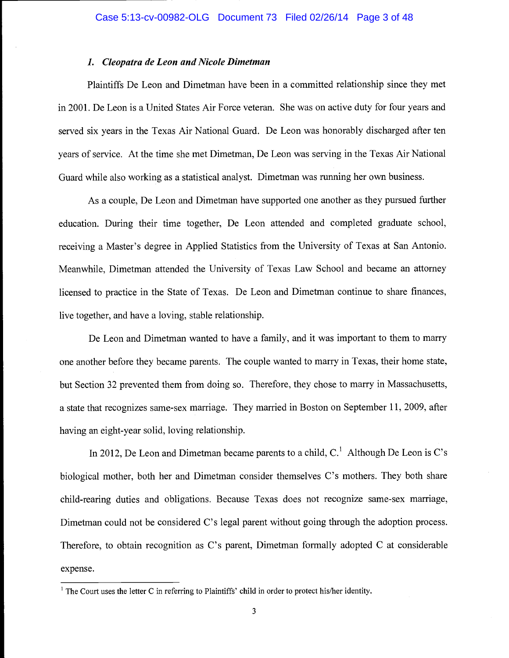## 1. Cleopatra de Leon and Nicole Dimetman

Plaintiffs De Leon and Dimetman have been in a committed relationship since they met in 2001. De Leon is a United States Air Force veteran. She was on active duty for four years and served six years in the Texas Air National Guard. De Leon was honorably discharged after ten years of service. At the time she met Dimetman, De Leon was serving in the Texas Air National Guard while also working as a statistical analyst. Dimetman was running her own business.

As a couple, De Leon and Dimetman have supported one another as they pursued further education. During their time together, De Leon attended and completed graduate school, receiving a Master's degree in Applied Statistics from the University of Texas at San Antonio. Meanwhile, Dimetman attended the University of Texas Law School and became an attorney licensed to practice in the State of Texas. De Leon and Dimetman continue to share finances, live together, and have a loving, stable relationship.

De Leon and Dimetman wanted to have a family, and it was important to them to marry one another before they became parents. The couple wanted to marry in Texas, their home state, but Section 32 prevented them from doing so. Therefore, they chose to marry in Massachusetts, a state that recognizes same-sex marriage. They married in Boston on September 11, 2009, after having an eight-year solid, loving relationship.

In 2012, De Leon and Dimetman became parents to a child,  $C<sup>1</sup>$  Although De Leon is C's biological mother, both her and Dimetman consider themselves C's mothers. They both share child-rearing duties and obligations. Because Texas does not recognize same-sex marriage, Dimetman could not be considered C's legal parent without going through the adoption process. Therefore, to obtain recognition as C's parent, Dimetman formally adopted C at considerable expense.

 $1$  The Court uses the letter C in referring to Plaintiffs' child in order to protect his/her identity.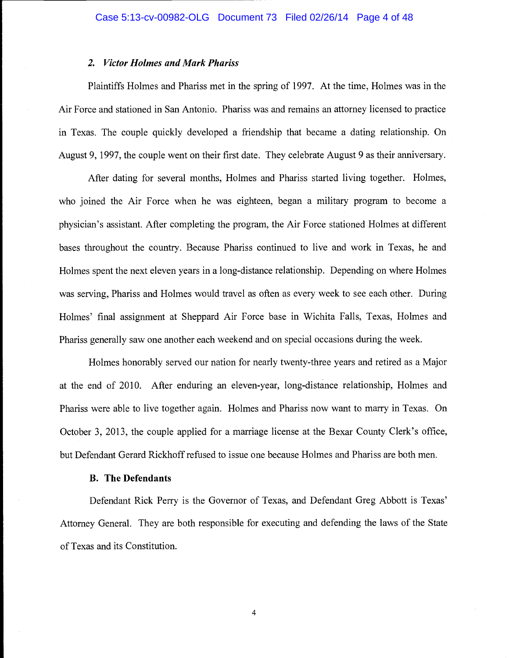## 2. Victor Holmes and Mark Phariss

Plaintiffs Holmes and Phariss met in the spring of 1997. At the time, Holmes was in the Air Force and stationed in San Antonio. Phariss was and remains an attorney licensed to practice in Texas. The couple quickly developed a friendship that became a dating relationship. On August 9, 1997, the couple went on their first date. They celebrate August 9 as their anniversary.

After dating for several months, Holmes and Phariss started living together. Holmes, who joined the Air Force when he was eighteen, began a military program to become a physician's assistant. After completing the program, the Air Force stationed Holmes at different bases throughout the country. Because Phariss continued to live and work in Texas, he and Holmes spent the next eleven years in a long-distance relationship. Depending on where Holmes was serving, Phariss and Holmes would travel as often as every week to see each other. During Holmes' final assignment at Sheppard Air Force base in Wichita Falls, Texas, Holmes and Phariss generally saw one another each weekend and on special occasions during the week.

Holmes honorably served our nation for nearly twenty-three years and retired as a Major at the end of 2010. After enduring an eleven-year, long-distance relationship, Holmes and Phariss were able to live together again. Holmes and Phariss now want to marry in Texas. On October 3, 2013, the couple applied for a marriage license at the Bexar County Clerk's office, but Defendant Gerard Rickhoff refused to issue one because Holmes and Phariss are both men.

## B. The Defendants

Defendant Rick Perry is the Governor of Texas, and Defendant Greg Abbott is Texas' Attorney General. They are both responsible for executing and defending the laws of the State of Texas and its Constitution.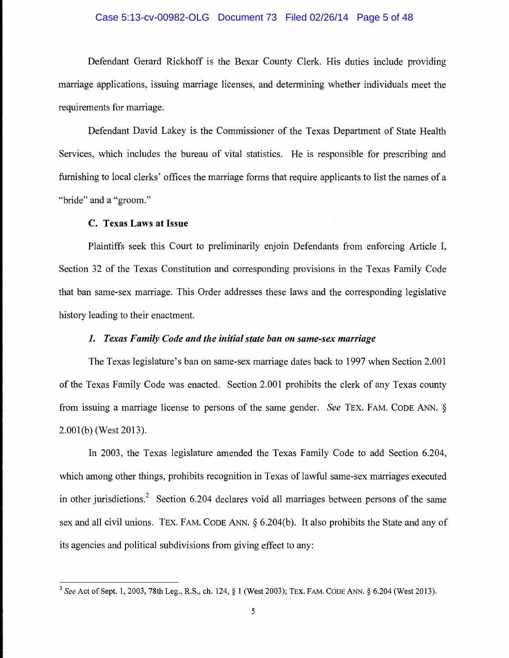## Case 5:13-cv-00982-OLG Document 73 Filed 02/26/14 Page 5 of 48

Defendant Gerard Rickhoff is the Bexar County Clerk. His duties include providing marriage applications, issuing marriage licenses, and determining whether individuals meet the requirements for marriage.

Defendant David Lakey is the Commissioner of the Texas Department of State Health Services, which includes the bureau of vital statistics. He is responsible for prescribing and furnishing to local clerks' offices the marriage forms that require applicants to list the names of a "bride" and a "groom."

## C. Texas Laws at Issue

Plaintiffs seek this Court to preliminarily enjoin Defendants from enforcing Article I, Section 32 of the Texas Constitution and corresponding provisions in the Texas Family Code that ban same-sex marriage. This Order addresses these laws and the corresponding legislative history leading to their enactment.

## 1. Texas Family Code and the initial state ban on same-sex marriage

The Texas legislature's ban on same-sex marriage dates back to 1997 when Section 2.001 of the Texas Family Code was enacted. Section 2.001 prohibits the clerk of any Texas county from issuing a marriage license to persons of the same gender. See TEx. FAM. CODE ANN. § 2.001(b) (West 2013).

In 2003, the Texas legislature amended the Texas Family Code to add Section 6.204, which among other things, prohibits recognition in Texas of lawful same-sex marriages executed in other jurisdictions.<sup>2</sup> Section 6.204 declares void all marriages between persons of the same sex and all civil unions. TEx. FAM. CODE ANN. § 6.204(b). It also prohibits the State and any of its agencies and political subdivisions from giving effect to any:

<sup>&</sup>lt;sup>2</sup> See Act of Sept. 1, 2003, 78th Leg., R.S., ch. 124, § 1 (West 2003); TEX. FAM. CODE ANN. § 6.204 (West 2013).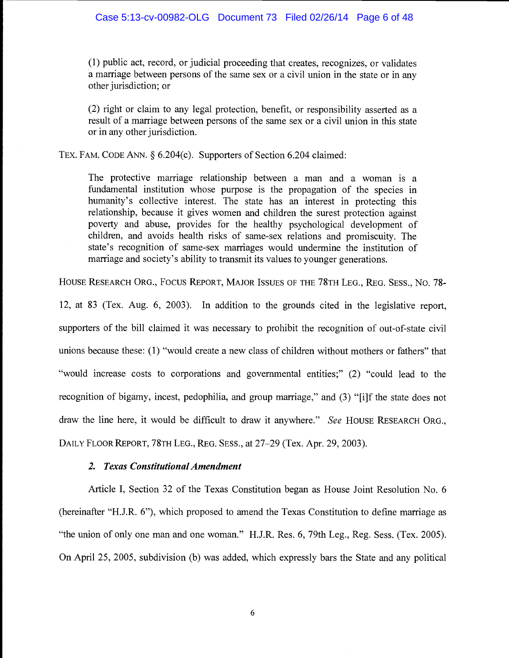(1) public act, record, or judicial proceeding that creates, recognizes, or validates a marriage between persons of the same sex or a civil union in the state or in any other jurisdiction; or

(2) right or claim to any legal protection, benefit, or responsibility asserted as a result of a marriage between persons of the same sex or a civil union in this state or in any other jurisdiction.

TEX. FAM. CODE ANN. § 6.204(c). Supporters of Section 6.204 claimed:

The protective marriage relationship between a man and a woman is a fundamental institution whose purpose is the propagation of the species in humanity's collective interest. The state has an interest in protecting this relationship, because it gives women and children the surest protection against poverty and abuse, provides for the healthy psychological development of children, and avoids health risks of same-sex relations and promiscuity. The state's recognition of same-sex marriages would undermine the institution of marriage and society's ability to transmit its values to younger generations.

HOUSE RESEARCH ORG., Focus REPORT, MAJOR ISSUES OF THE 78TH LEG., REG. SESS., No. 78-

12, at 83 (Tex. Aug. 6, 2003). In addition to the grounds cited in the legislative report, supporters of the bill claimed it was necessary to prohibit the recognition of out-of-state civil unions because these: (1) "would create a new class of children without mothers or fathers" that "would increase costs to corporations and governmental entities;" (2) "could lead to the recognition of bigamy, incest, pedophilia, and group marriage," and (3) "[i]f the state does not draw the line here, it would be difficult to draw it anywhere." See HOUSE RESEARCH ORG., DAILY FLOOR REPORT, 78TH LEG., REG. SESS., at 27-29 (Tex. Apr. 29, 2003).

## 2. Texas Constitutional Amendment

Article I, Section 32 of the Texas Constitution began as House Joint Resolution No. 6 (hereinafter "H.J.R. 6"), which proposed to amend the Texas Constitution to define marriage as "the union of only one man and one woman." H.J.R. Res. 6, 79th Leg., Reg. Sess. (Tex. 2005). On April 25, 2005, subdivision (b) was added, which expressly bars the State and any political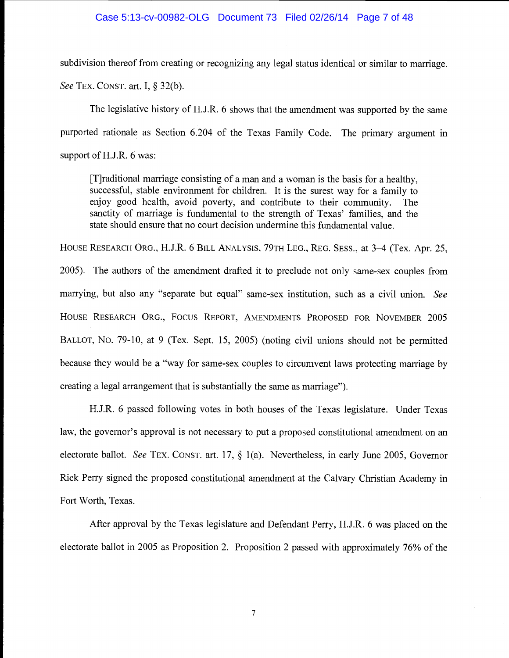## Case 5:13-cv-00982-OLG Document 73 Filed 02/26/14 Page 7 of 48

subdivision thereof from creating or recognizing any legal status identical or similar to marriage. See TEx. CONST. art. I, § 32(b).

The legislative history of H.J.R. 6 shows that the amendment was supported by the same purported rationale as Section 6.204 of the Texas Family Code. The primary argument in support of H.J.R. 6 was:

[T]raditional marriage consisting of a man and a woman is the basis for a healthy, successful, stable environment for children. It is the surest way for a family to enjoy good health, avoid poverty, and contribute to their community. The sanctity of marriage is fundamental to the strength of Texas' families, and the state should ensure that no court decision undermine this fundamental value.

HOUSE RESEARCH ORG., H.J.R. 6 BILL ANALYSIS, 79TH LEG., REG. SESS., at 3-4 (Tex. Apr. 25,

2005). The authors of the amendment drafted it to preclude not only same-sex couples from marrying, but also any "separate but equal" same-sex institution, such as a civil union. See HOUSE RESEARCH ORG., FOCUS REPORT, AMENDMENTS PROPOSED FOR NOVEMBER 2005 BALLOT, No. 79-10, at 9 (Tex. Sept. 15, 2005) (noting civil unions should not be permitted because they would be a "way for same-sex couples to circumvent laws protecting marriage by creating a legal arrangement that is substantially the same as marriage").

H.J.R. 6 passed following votes in both houses of the Texas legislature. Under Texas law, the governor's approval is not necessary to put a proposed constitutional amendment on an electorate ballot. See TEx. CONST. art. 17, § 1(a). Nevertheless, in early June 2005, Governor Rick Perry signed the proposed constitutional amendment at the Calvary Christian Academy in Fort Worth, Texas.

After approval by the Texas legislature and Defendant Perry, H.J.R. 6 was placed on the electorate ballot in 2005 as Proposition 2. Proposition 2 passed with approximately 76% of the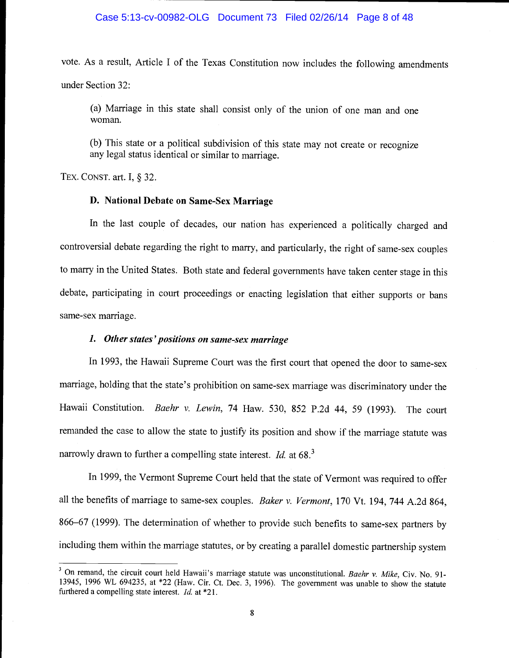## Case 5:13-cv-00982-OLG Document 73 Filed 02/26/14 Page 8 of 48

vote. As a result, Article I of the Texas Constitution now includes the following amendments under Section 32:

(a) Marriage in this state shall consist only of the union of one man and one woman.

(b) This state or a political subdivision of this state may not create or recognize any legal status identical or similar to marriage.

TEX. CONST. art. I, § 32.

## D. National Debate on Same-Sex Marriage

In the last couple of decades, our nation has experienced a politically charged and controversial debate regarding the right to marry, and particularly, the right of same-sex couples to marry in the United States. Both state and federal governments have taken center stage in this debate, participating in court proceedings or enacting legislation that either supports or bans same-sex marriage.

## 1. Other states 'positions on same-sex marriage

In 1993, the Hawaii Supreme Court was the first court that opened the door to same-sex marriage, holding that the state's prohibition on same-sex marriage was discriminatory under the Hawaii Constitution. Baehr v. Lewin, 74 Haw. 530, 852 P.2d 44, 59 (1993). The court remanded the case to allow the state to justify its position and show if the marriage statute was narrowly drawn to further a compelling state interest. Id. at 68.<sup>3</sup>

In 1999, the Vermont Supreme Court held that the state of Vermont was required to offer all the benefits of marriage to same-sex couples. Baker v. Vermont, 170 Vt. 194, 744 A.2d 864, 866-67 (1999). The determination of whether to provide such benefits to same-sex partners by including them within the marriage statutes, or by creating a parallel domestic partnership system

<sup>&</sup>lt;sup>3</sup> On remand, the circuit court held Hawaii's marriage statute was unconstitutional. Baehr v. Mike, Civ. No. 91-13945, 1996 WL 694235, at \*22 (Haw. Cir. Ct. Dec. 3, 1996). The government was unable to show the statute furthered a compelling state interest. Id. at \*21.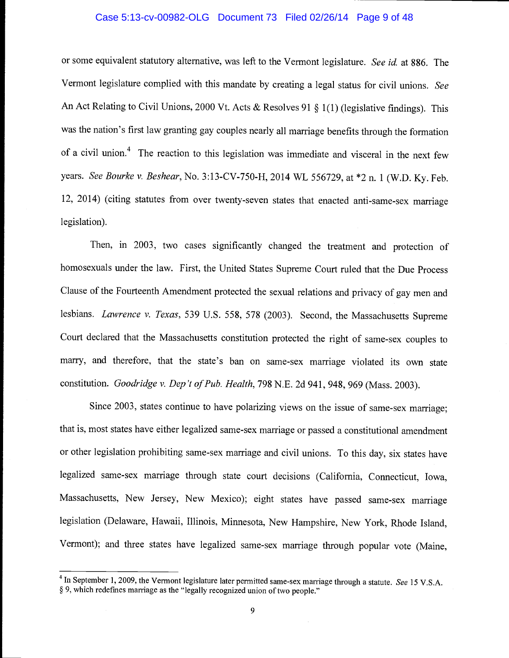## Case 5:13-cv-00982-OLG Document 73 Filed 02/26/14 Page 9 of 48

or some equivalent statutory alternative, was left to the Vermont legislature. See id. at 886. The Vermont legislature complied with this mandate by creating a legal status for civil unions. See An Act Relating to Civil Unions, 2000 Vt. Acts & Resolves 91 § 1(1) (legislative findings). This was the nation's first law granting gay couples nearly all marriage benefits through the formation of a civil union.<sup>4</sup> The reaction to this legislation was immediate and visceral in the next few years. See Bourke v. Beshear, No. 3:13-CV-750-H, 2014 WL 556729, at \*2 n. 1 (W.D. Ky. Feb. 12, 2014) (citing statutes from over twenty-seven states that enacted anti-same-sex marriage legislation).

Then, in 2003, two cases significantly changed the treatment and protection of homosexuals under the law. First, the United States Supreme Court ruled that the Due Process Clause of the Fourteenth Amendment protected the sexual relations and privacy of gay men and lesbians. Lawrence v. Texas, 539 U.S. 558, 578 (2003). Second, the Massachusetts Supreme Court declared that the Massachusetts constitution protected the right of same-sex couples to marry, and therefore, that the state's ban on same-sex marriage violated its own state constitution. Goodridge v. Dep 't of Pub. Health, 798 N.E. 2d 941, 948, 969 (Mass. 2003).

Since 2003, states continue to have polarizing views on the issue of same-sex marriage; that is, most states have either legalized same-sex marriage or passed a constitutional amendment or other legislation prohibiting same-sex marriage and civil unions. To this day, six states have legalized same-sex marriage through state court decisions (California, Connecticut, Iowa, Massachusetts, New Jersey, New Mexico); eight states have passed same-sex marriage legislation (Delaware, Hawaii, Illinois, Minnesota, New Hampshire, New York, Rhode Island, Vermont); and three states have legalized same-sex marriage through popular vote (Maine,

<sup>&</sup>lt;sup>4</sup> In September 1, 2009, the Vermont legislature later permitted same-sex marriage through a statute. See 15 V.S.A. § 9, which redefines marriage as the "legally recognized union of two people."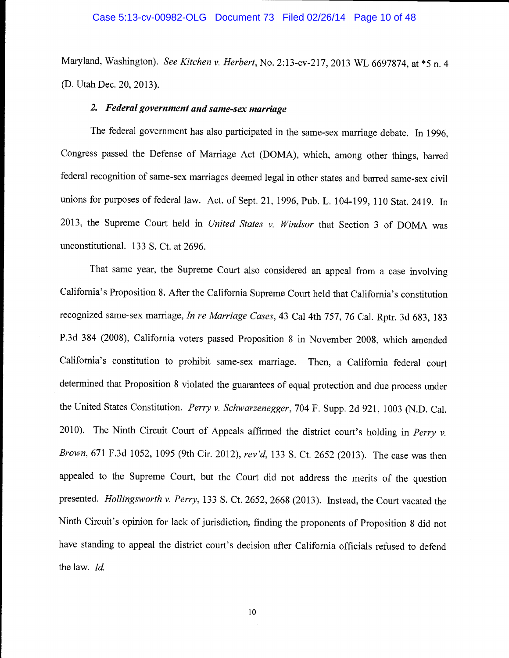## Case 5:13-cv-00982-OLG Document 73 Filed 02/26/14 Page 10 of 48

Maryland, Washington). See Kitchen v. Herbert, No. 2:13-cv-217, 2013 WL 6697874, at \*5 n. 4 (D. Utah Dec. 20, 2013).

## 2. Federal government and same-sex marriage

The federal government has also participated in the same-sex marriage debate. In 1996, Congress passed the Defense of Marriage Act (DOMA), which, among other things, barred federal recognition of same-sex marriages deemed legal in other states and barred same-sex civil unions for purposes of federal law. Act. of Sept. 21, 1996, Pub. L. 104-199, 110 Stat. 2419. In 2013, the Supreme Court held in United States v. Windsor that Section 3 of DOMA was unconstitutional. 133 S. Ct. at 2696.

That same year, the Supreme Court also considered an appeal from a case involving California's Proposition 8. After the California Supreme Court held that California's constitution recognized same-sex marriage, In re Marriage Cases, 43 Cal 4th 757, 76 Cal. Rptr. 3d 683, 183 P.3d 384 (2008), California voters passed Proposition 8 in November 2008, which amended California's constitution to prohibit same-sex marriage. Then, a California federal court determined that Proposition 8 violated the guarantees of equal protection and due process under the United States Constitution. Perry v. Schwarzenegger, 704 F. Supp. 2d 921, 1003 (N.D. Cal. 2010). The Ninth Circuit Court of Appeals affirmed the district court's holding in Perry  $v$ . Brown, 671 F.3d 1052, 1095 (9th Cir. 2012), rev'd, 133 5. Ct. 2652 (2013). The case was then appealed to the Supreme Court, but the Court did not address the merits of the question presented. Hollingsworth v. Perry, 133 S. Ct. 2652, 2668 (2013). Instead, the Court vacated the Ninth Circuit's opinion for lack of jurisdiction, finding the proponents of Proposition 8 did not have standing to appeal the district court's decision after California officials refused to defend the law. Id.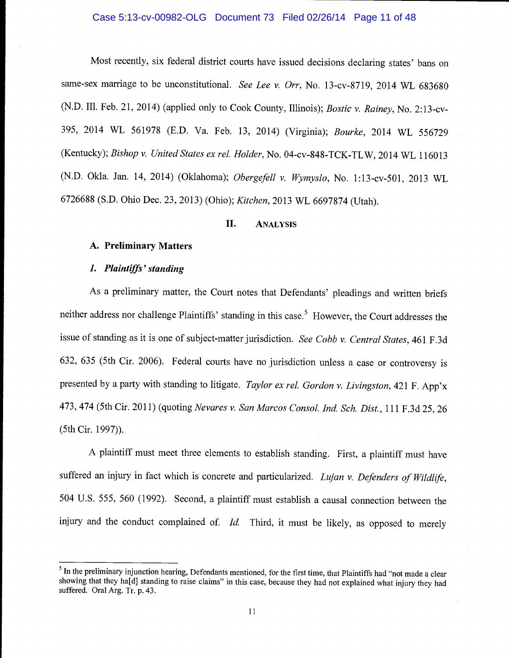## Case 5:13-cv-00982-OLG Document 73 Filed 02/26/14 Page 11 of 48

Most recently, six federal district courts have issued decisions declaring states' bans on same-sex marriage to be unconstitutional. See Lee v. Orr, No. 13-cv-8719, 2014 WL 683680 (N.D. Ill. Feb. 21, 2014) (applied only to Cook County, Illinois); Bostic v. Rainey, No. 2:13-cv-395, 2014 WL 561978 (E.D. Va. Feb. 13, 2014) (Virginia); Bourke, 2014 WL 556729 (Kentucky); Bishop v. United States ex rel. Holder, No. 04-cv-848-TCK-TLW, 2014 WL 116013 (N.D. Okia. Jan. 14, 2014) (Oklahoma); Obergefell v. Wymyslo, No. 1:13-cv-501, 2013 WL 6726688 (S.D. Ohio Dec. 23, 2013) (Ohio); Kitchen, 2013 WL 6697874 (Utah).

## II. ANALYSIS

## A. Preliminary Matters

#### 1. Plaintiffs' standing

As a preliminary matter, the Court notes that Defendants' pleadings and written briefs neither address nor challenge Plaintiffs' standing in this case.<sup>5</sup> However, the Court addresses the issue of standing as it is one of subject-matter jurisdiction. See Cobb v. Central States, 461 F.3d 632, 635 (5th Cir. 2006). Federal courts have no jurisdiction unless a case or controversy is presented by a party with standing to litigate. Taylor ex rel. Gordon v. Livingston, 421 F. App'x 473, 474 (5th Cir. 2011) (quoting Nevares v. San Marcos Consol. md. Sch. Dist., 111 F.3d 25, 26 (5th Cir. 1997)).

A plaintiff must meet three elements to establish standing. First, a plaintiff must have suffered an injury in fact which is concrete and particularized. Lujan v. Defenders of Wildlife, 504 U.S. 555, 560 (1992). Second, a plaintiff must establish a causal connection between the injury and the conduct complained of.  $Id$ . Third, it must be likely, as opposed to merely

<sup>&</sup>lt;sup>5</sup> In the preliminary injunction hearing, Defendants mentioned, for the first time, that Plaintiffs had "not made a clear showing that they ha[d] standing to raise claims" in this case, because they had not explained what injury they had suffered. Oral Arg. Tr. p. 43.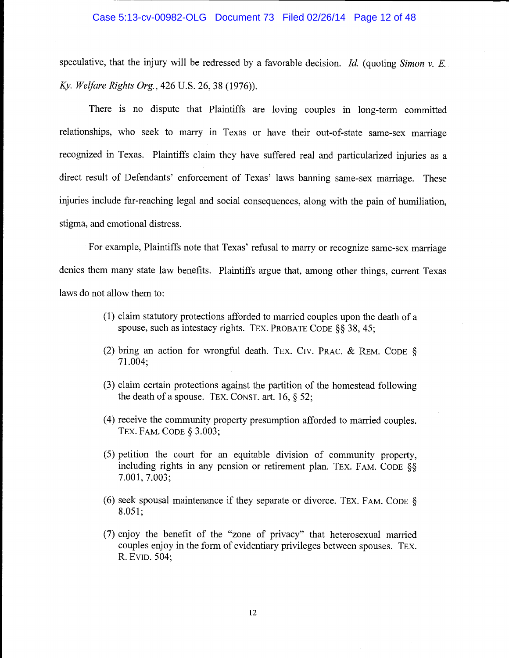speculative, that the injury will be redressed by a favorable decision. Id. (quoting Simon  $v$ . E. Ky. Welfare Rights Org., 426 U.s. 26, 38 (1976)).

There is no dispute that Plaintiffs are loving couples in long-term committed relationships, who seek to marry in Texas or have their out-of-state same-sex marriage recognized in Texas. Plaintiffs claim they have suffered real and particularized injuries as a direct result of Defendants' enforcement of Texas' laws banning same-sex marriage. These injuries include far-reaching legal and social consequences, along with the pain of humiliation, stigma, and emotional distress.

For example, Plaintiffs note that Texas' refusal to marry or recognize same-sex marriage denies them many state law benefits. Plaintiffs argue that, among other things, current Texas laws do not allow them to:

- (1) claim statutory protections afforded to married couples upon the death of a spouse, such as intestacy rights. TEX. PROBATE CODE §§ 38, 45;
- (2) bring an action for wrongful death. TEx. Civ. PRAC. & REM. CODE § 71.004;
- (3) claim certain protections against the partition of the homestead following the death of a spouse. TEX. CONST. art. 16,  $\S$  52;
- (4) receive the community property presumption afforded to married couples. TEx. FAM. CODE § 3.003;
- (5) petition the court for an equitable division of community property, including rights in any pension or retirement plan. TEX. FAM. CODE  $\S$  $7.001, 7.003;$
- (6) seek spousal maintenance if they separate or divorce. TEX. FAM. CODE §  $8.051;$
- (7) enjoy the benefit of the "zone of privacy" that heterosexual married couples enjoy in the form of evidentiary privileges between spouses. TEx. R. EvID. 504;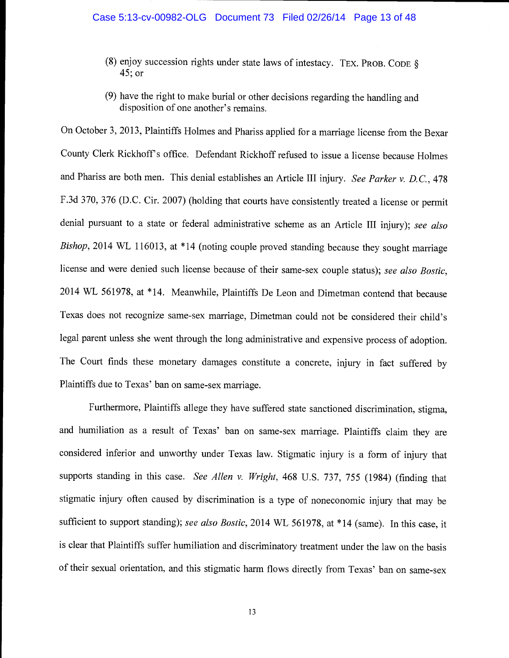- (8) enjoy succession rights under state laws of intestacy. TEX. PROB. CODE  $\S$ 45; or
- (9) have the right to make burial or other decisions regarding the handling and disposition of one another's remains.

On October 3, 2013, Plaintiffs Holmes and Phariss applied for a marriage license from the Bexar County Clerk Rickhoff' s office. Defendant Rickhoff refused to issue a license because Holmes and Phariss are both men. This denial establishes an Article III injury. See Parker v. D.C., 478 F.3d 370, 376 (D.C. Cir. 2007) (holding that courts have consistently treated a license or permit denial pursuant to a state or federal administrative scheme as an Article III injury); see also Bishop, 2014 WL 116013, at \*14 (noting couple proved standing because they sought marriage license and were denied such license because of their same-sex couple status); see also Bostic, 2014 WL 561978, at \*14. Meanwhile, Plaintiffs De Leon and Dimetman contend that because Texas does not recognize same-sex marriage, Dimetman could not be considered their child's legal parent unless she went through the long administrative and expensive process of adoption. The Court finds these monetary damages constitute a concrete, injury in fact suffered by Plaintiffs due to Texas' ban on same-sex marriage.

Furthermore, Plaintiffs allege they have suffered state sanctioned discrimination, stigma, and humiliation as a result of Texas' ban on same-sex marriage. Plaintiffs claim they are considered inferior and unworthy under Texas law. Stigmatic injury is a form of injury that supports standing in this case. See Allen v. Wright, 468 U.S. 737, 755 (1984) (finding that stigmatic injury often caused by discrimination is a type of noneconomic injury that may be sufficient to support standing); see also Bostic, 2014 WL 561978, at \*14 (same). In this case, it is clear that Plaintiffs suffer humiliation and discriminatory treatment under the law on the basis of their sexual orientation, and this stigmatic harm flows directly from Texas' ban on same-sex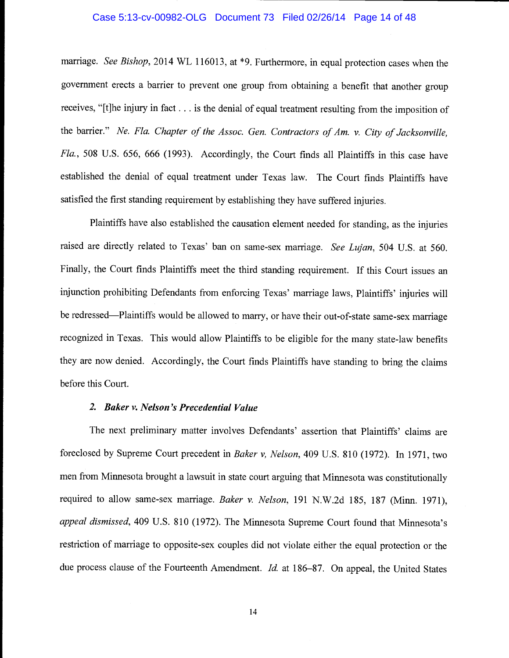## Case 5:13-cv-00982-OLG Document 73 Filed 02/26/14 Page 14 of 48

marriage. See Bishop, 2014 WL 116013, at \*9. Furthermore, in equal protection cases when the government erects a barrier to prevent one group from obtaining a benefit that another group receives, "[t]he injury in fact. . . is the denial of equal treatment resulting from the imposition of the barrier." Ne. Fla. Chapter of the Assoc. Gen. Contractors of Am. v. City of Jacksonville, Fla., 508 U.S. 656, 666 (1993). Accordingly, the Court finds all Plaintiffs in this case have established the denial of equal treatment under Texas law. The Court finds Plaintiffs have satisfied the first standing requirement by establishing they have suffered injuries.

Plaintiffs have also established the causation element needed for standing, as the injuries raised are directly related to Texas' ban on same-sex marriage. See Lujan, 504 U.S. at 560. Finally, the Court finds Plaintiffs meet the third standing requirement. If this Court issues an injunction prohibiting Defendants from enforcing Texas' marriage laws, Plaintiffs' injuries will be redressed—Plaintiffs would be allowed to marry, or have their out-of-state same-sex marriage recognized in Texas. This would allow Plaintiffs to be eligible for the many state-law benefits they are now denied. Accordingly, the Court finds Plaintiffs have standing to bring the claims before this Court.

## 2. Baker v. Nelson 's Precedential Value

The next preliminary matter involves Defendants' assertion that Plaintiffs' claims are foreclosed by Supreme Court precedent in Baker v, Nelson, 409 U.S. 810 (1972). In 1971, two men from Minnesota brought a lawsuit in state court arguing that Minnesota was constitutionally required to allow same-sex marriage. Baker v. Nelson, 191 N.W.2d 185, 187 (Minn. 1971), appeal dismissed, 409 U.S. 810 (1972). The Minnesota Supreme Court found that Minnesota's restriction of marriage to opposite-sex couples did not violate either the equal protection or the due process clause of the Fourteenth Amendment. Id. at 186-87. On appeal, the United States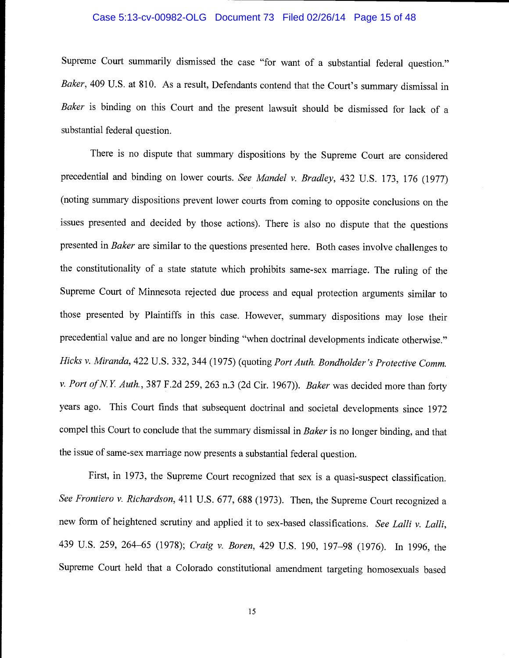## Case 5:13-cv-00982-OLG Document 73 Filed 02/26/14 Page 15 of 48

Supreme Court summarily dismissed the case "for want of a substantial federal question." Baker, 409 U.S. at 810. As a result, Defendants contend that the Court's summary dismissal in Baker is binding on this Court and the present lawsuit should be dismissed for lack of a substantial federal question.

There is no dispute that summary dispositions by the Supreme Court are considered precedential and binding on lower courts. See Mandel v. Bradley, 432 U.S. 173, 176 (1977) (noting summary dispositions prevent lower courts from coming to opposite conclusions on the issues presented and decided by those actions). There is also no dispute that the questions presented in Baker are similar to the questions presented here. Both cases involve challenges to the constitutionality of a state statute which prohibits same-sex marriage. The ruling of the Supreme Court of Minnesota rejected due process and equal protection arguments similar to those presented by Plaintiffs in this case. However, summary dispositions may lose their precedential value and are no longer binding "when doctrinal developments indicate otherwise." Hicks v. Miranda, 422 U.S. 332, 344 (1975) (quoting Port Auth. Bondholder 's Protective Comm. v. Port of N.Y. Auth., 387 F.2d 259, 263 n.3 (2d Cir. 1967)). Baker was decided more than forty years ago. This Court finds that subsequent doctrinal and societal developments since 1972 compel this Court to conclude that the summary dismissal in Baker is no longer binding, and that the issue of same-sex marriage now presents a substantial federal question.

First, in 1973, the Supreme Court recognized that sex is a quasi-suspect classification. See Frontiero v. Richardson, 411 U.S. 677, 688 (1973). Then, the Supreme Court recognized a new form of heightened scrutiny and applied it to sex-based classifications. See Lalli v. Lalli, 439 U.S. 259, 264-65 (1978); Craig v. Boren, 429 U.S. 190, 197-98 (1976). In 1996, the Supreme Court held that a Colorado constitutional amendment targeting homosexuals based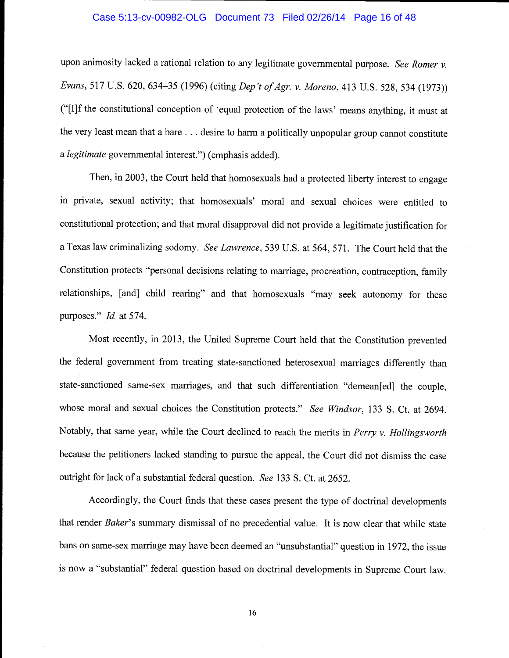## Case 5:13-cv-00982-OLG Document 73 Filed 02/26/14 Page 16 of 48

upon animosity lacked a rational relation to any legitimate governmental purpose. See Romer v. Evans, 517 U.S. 620, 634-35 (1996) (citing Dep't of Agr. v. Moreno, 413 U.S. 528, 534 (1973)) ("[I]f the constitutional conception of 'equal protection of the laws' means anything, it must at the very least mean that a bare . . . desire to harm a politically unpopular group cannot constitute a legitimate governmental interest.") (emphasis added).

Then, in 2003, the Court held that homosexuals had a protected liberty interest to engage in private, sexual activity; that homosexuals' moral and sexual choices were entitled to constitutional protection; and that moral disapproval did not provide a legitimate justification for a Texas law criminalizing sodomy. See Lawrence, 539 U.S. at 564, 571. The Court held that the Constitution protects "personal decisions relating to marriage, procreation, contraception, family relationships, [and] child rearing" and that homosexuals "may seek autonomy for these purposes." *Id.* at 574.

Most recently, in 2013, the United Supreme Court held that the Constitution prevented the federal government from treating state-sanctioned heterosexual marriages differently than state-sanctioned same-sex marriages, and that such differentiation "demean[ed] the couple, whose moral and sexual choices the Constitution protects." See Windsor, 133 S. Ct. at 2694. Notably, that same year, while the Court declined to reach the merits in Perry v. Hollingsworth because the petitioners lacked standing to pursue the appeal, the Court did not dismiss the case outright for lack of a substantial federal question. See 133 S. Ct. at 2652.

Accordingly, the Court finds that these cases present the type of doctrinal developments that render Baker's summary dismissal of no precedential value. It is now clear that while state bans on same-sex marriage may have been deemed an "unsubstantial" question in 1972, the issue is now a "substantial" federal question based on doctrinal developments in Supreme Court law.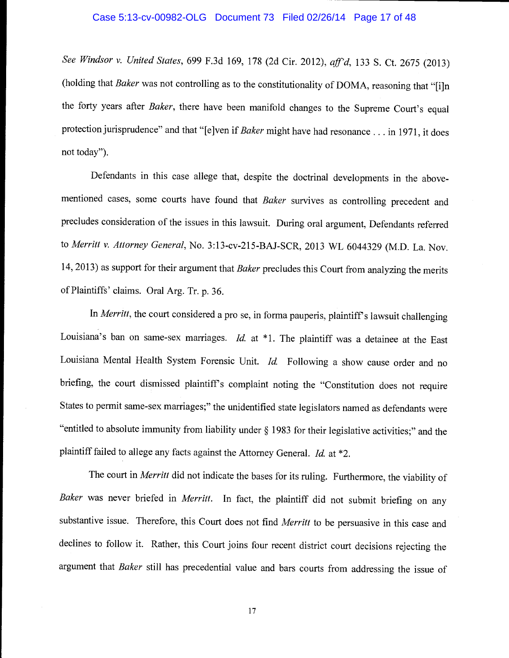## Case 5:13-cv-00982-OLG Document 73 Filed 02/26/14 Page 17 of 48

See Windsor v. United States, 699 F.3d 169, 178 (2d Cir. 2012), aff'd, 133 S. Ct. 2675 (2013) (holding that Baker was not controlling as to the constitutionality of DOMA, reasoning that "[i]n the forty years after Baker, there have been manifold changes to the Supreme Court's equal protection jurisprudence" and that "[e]ven if Baker might have had resonance... in 1971, it does not today")

Defendants in this case allege that, despite the doctrinal developments in the abovementioned cases, some courts have found that Baker survives as controlling precedent and precludes consideration of the issues in this lawsuit. During oral argument, Defendants referred to Merritt v. Attorney General, No. 3:13-cv-215-BAJ-SCR, 2013 WL 6044329 (M.D. La. Nov. 14, 2013) as support for their argument that Baker precludes this Court from analyzing the merits of Plaintiffs' claims. Oral Arg. Tr. p. 36.

In Merritt, the court considered a pro se, in forma pauperis, plaintiff's lawsuit challenging Louisiana's ban on same-sex marriages. *Id.* at  $*1$ . The plaintiff was a detainee at the East Louisiana Mental Health System Forensic Unit. Id. Following a show cause order and no briefing, the court dismissed plaintiff's complaint noting the "Constitution does not require States to permit same-sex marriages;" the unidentified state legislators named as defendants were "entitled to absolute immunity from liability under § 1983 for their legislative activities;" and the plaintiff failed to allege any facts against the Attorney General. Id. at \*2.

The court in *Merritt* did not indicate the bases for its ruling. Furthermore, the viability of Baker was never briefed in Merritt. In fact, the plaintiff did not submit briefing on any substantive issue. Therefore, this Court does not find Merritt to be persuasive in this case and declines to follow it. Rather, this Court joins four recent district court decisions rejecting the argument that Baker still has precedential value and bars courts from addressing the issue of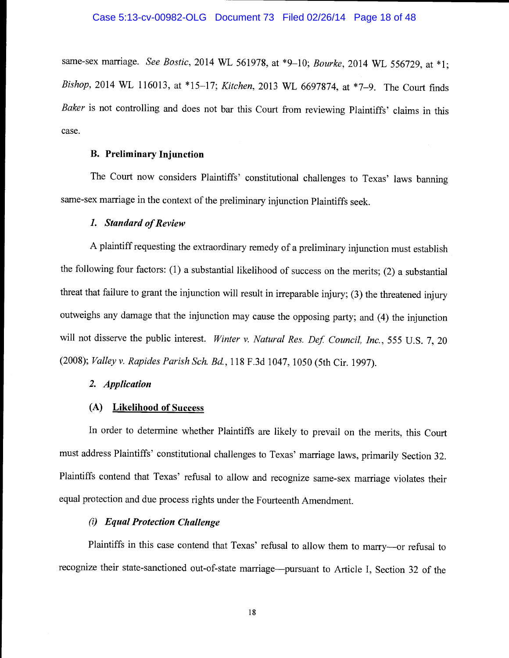same-sex marriage. See Bostic, 2014 WL 561978, at \*9-10; Bourke, 2014 WL 556729, at \*1; Bishop, 2014 WL 116013, at \*15-17; Kitchen, 2013 WL 6697874, at \*7-9. The Court finds Baker is not controlling and does not bar this Court from reviewing Plaintiffs' claims in this case.

## B. Preliminary Injunction

The Court now considers Plaintiffs' constitutional challenges to Texas' laws banning same-sex marriage in the context of the preliminary injunction Plaintiffs seek.

## 1. Standard of Review

A plaintiff requesting the extraordinary remedy of a preliminary injunction must establish the following four factors: (1) a substantial likelihood of success on the merits; (2) a substantial threat that failure to grant the injunction will result in irreparable injury; (3) the threatened injury outweighs any damage that the injunction may cause the opposing party; and (4) the injunction will not disserve the public interest. Winter v. Natural Res. Def. Council, Inc., 555 U.S. 7, 20 (2008); Valley v. Rapides Parish Sch. Bd., 118 F.3d 1047, 1050 (5th Cir. 1997).

## 2. Application

## (A) Likelihood of Success

In order to determine whether Plaintiffs are likely to prevail on the merits, this Court must address Plaintiffs' constitutional challenges to Texas' marriage laws, primarily Section 32. Plaintiffs contend that Texas' refusal to allow and recognize same-sex marriage violates their equal protection and due process rights under the Fourteenth Amendment.

## (i) Equal Protection Challenge

Plaintiffs in this case contend that Texas' refusal to allow them to marry--- or refusal to recognize their state-sanctioned out-of-state marriage—pursuant to Article I, Section 32 of the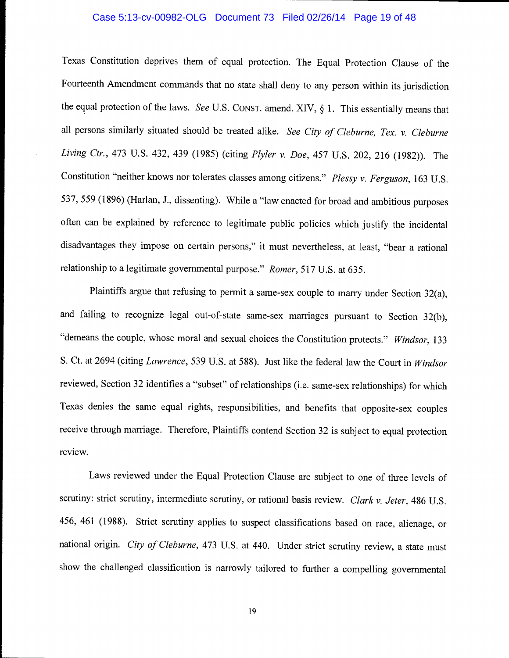## Case 5:13-cv-00982-OLG Document 73 Filed 02/26/14 Page 19 of 48

Texas Constitution deprives them of equal protection. The Equal Protection Clause of the Fourteenth Amendment commands that no state shall deny to any person within its jurisdiction the equal protection of the laws. See U.S. CONST. amend. XIV, § 1. This essentially means that all persons similarly situated should be treated alike. See City of Cleburne, Tex. v. Cleburne Living Ctr., 473 U.S. 432, 439 (1985) (citing Plyler v. Doe, 457 U.S. 202, 216 (1982)). The Constitution "neither knows nor tolerates classes among citizens." Plessy v. Ferguson, 163 U.S. 537, 559 (1896) (Harlan, J., dissenting). While a "law enacted for broad and ambitious purposes often can be explained by reference to legitimate public policies which justify the incidental disadvantages they impose on certain persons," it must nevertheless, at least, "bear a rational relationship to a legitimate governmental purpose." Romer, 517 U.S. at 635.

Plaintiffs argue that refusing to permit a same-sex couple to marry under Section 32(a), and failing to recognize legal out-of-state same-sex marriages pursuant to Section 32(b), "demeans the couple, whose moral and sexual choices the Constitution protects." Windsor, 133 S. Ct. at 2694 (citing Lawrence, 539 U.S. at 588). Just like the federal law the Court in Windsor reviewed, Section 32 identifies a "subset" of relationships (i.e. same-sex relationships) for which Texas denies the same equal rights, responsibilities, and benefits that opposite-sex couples receive through marriage. Therefore, Plaintiffs contend Section 32 is subject to equal protection review.

Laws reviewed under the Equal Protection Clause are subject to one of three levels of scrutiny: strict scrutiny, intermediate scrutiny, or rational basis review. Clark v. Jeter, 486 U.S. 456, 461 (1988). Strict scrutiny applies to suspect classifications based on race, alienage, or national origin. City of Cleburne, 473 U.S. at 440. Under strict scrutiny review, a state must show the challenged classification is narrowly tailored to further a compelling governmental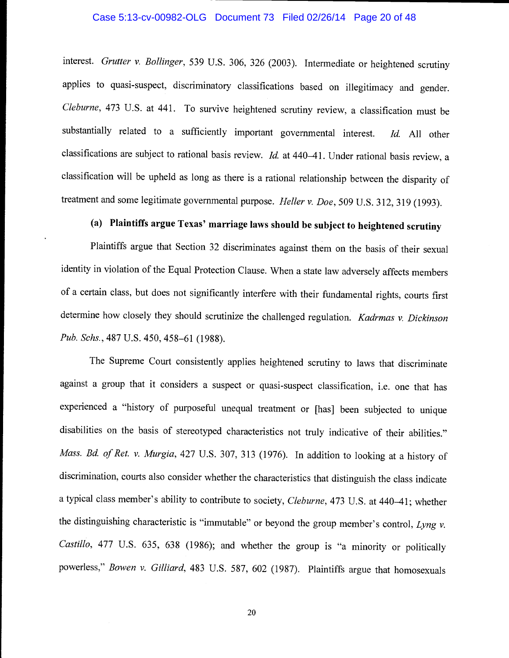## Case 5:13-cv-00982-OLG Document 73 Filed 02/26/14 Page 20 of 48

interest. Grutter v. Bollinger, 539 U.S. 306, 326 (2003). Intermediate or heightened scrutiny applies to quasi-suspect, discriminatory classifications based on illegitimacy and gender. Cleburne, 473 U.S. at 441. To survive heightened scrutiny review, a classification must be substantially related to a sufficiently important governmental interest. Id. All other classifications are subject to rational basis review. Id. at 440-41. Under rational basis review, a classification will be upheld as long as there is a rational relationship between the disparity of treatment and some legitimate governmental purpose. Heller v. Doe, 509 U.S. 312, 319 (1993).

# (a) Plaintiffs argue Texas' marriage laws should be subject to heightened scrutiny

Plaintiffs argue that Section 32 discriminates against them on the basis of their sexual identity in violation of the Equal Protection Clause. When a state law adversely affects members of a certain class, but does not significantly interfere with their fundamental rights, courts first determine how closely they should scrutinize the challenged regulation. Kadrmas v. Dickinson Pub. Schs., 487 U.S. 450, 458-61 (1988).

The Supreme Court consistently applies heightened scrutiny to laws that discriminate against a group that it considers a suspect or quasi-suspect classification, i.e. one that has experienced a "history of purposeful unequal treatment or [has] been subjected to unique disabilities on the basis of stereotyped characteristics not truly indicative of their abilities." Mass. Bd. of Ret. v. Murgia, 427 U.S. 307, 313 (1976). In addition to looking at a history of discrimination, courts also consider whether the characteristics that distinguish the class indicate a typical class member's ability to contribute to society, Cleburne, 473 U.S. at 440-41; whether the distinguishing characteristic is "immutable" or beyond the group member's control, Lyng v. Castillo, 477 U.S. 635, 638 (1986); and whether the group is "a minority or politically powerless," Bowen v. Gilliard, 483 U.S. 587, 602 (1987). Plaintiffs argue that homosexuals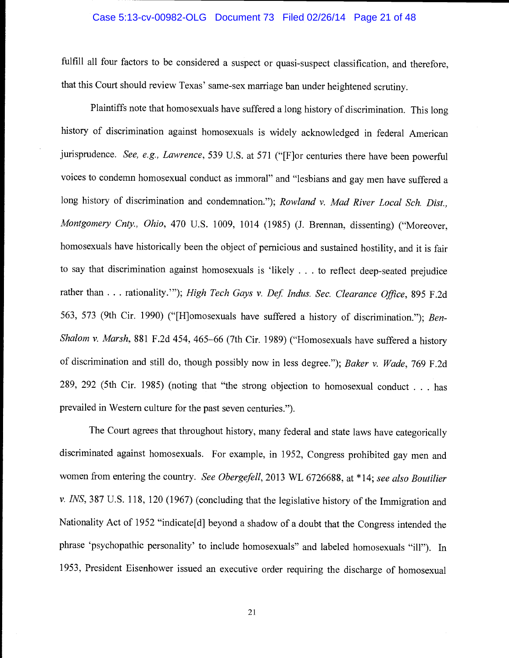## Case 5:13-cv-00982-OLG Document 73 Filed 02/26/14 Page 21 of 48

fulfill all four factors to be considered a suspect or quasi-suspect classification, and therefore, that this Court should review Texas' same-sex marriage ban under heightened scrutiny.

Plaintiffs note that homosexuals have suffered a long history of discrimination. This long history of discrimination against homosexuals is widely acknowledged in federal American jurisprudence. See, e.g., Lawrence, 539 U.S. at 571 ("[F]or centuries there have been powerful voices to condemn homosexual conduct as immoral" and "lesbians and gay men have suffered a long history of discrimination and condemnation."); Rowland v. Mad River Local Sch. Dist., Montgomery Cnty., Ohio, 470 U.S. 1009, 1014 (1985) (J. Brennan, dissenting) ("Moreover, homosexuals have historically been the object of pernicious and sustained hostility, and it is fair to say that discrimination against homosexuals is 'likely . . . to reflect deep-seated prejudice rather than . . . rationality.""); High Tech Gays v. Def. Indus. Sec. Clearance Office, 895 F.2d 563, 573 (9th Cir. 1990) ("[H]omosexuals have suffered a history of discrimination."); Ben-Shalom v. Marsh, 881 F.2d 454, 465-66 (7th Cir. 1989) ("Homosexuals have suffered a history of discrimination and still do, though possibly now in less degree."); Baker v. Wade, 769 F.2d 289, 292 (5th Cir. 1985) (noting that "the strong objection to homosexual conduct . . . has prevailed in Western culture for the past seven centuries.").

The Court agrees that throughout history, many federal and state laws have categorically discriminated against homosexuals. For example, in 1952, Congress prohibited gay men and women from entering the country. See Obergefell, 2013 WL 6726688, at \*14; see also Boutilier v. INS, 387 U.S. 118, 120 (1967) (concluding that the legislative history of the Immigration and Nationality Act of 1952 "indicate[d] beyond a shadow of a doubt that the Congress intended the phrase 'psychopathic personality' to include homosexuals" and labeled homosexuals "ill"). In 1953, President Eisenhower issued an executive order requiring the discharge of homosexual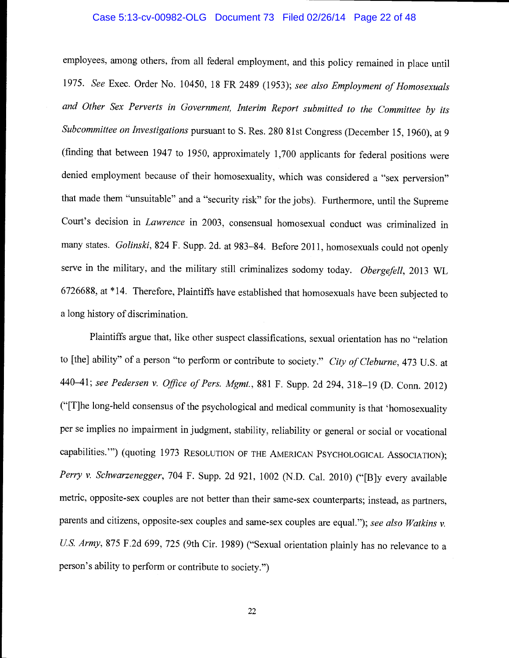## Case 5:13-cv-00982-OLG Document 73 Filed 02/26/14 Page 22 of 48

employees, among others, from all federal employment, and this policy remained in place until 1975. See Exec. Order No. 10450, 18 FR 2489 (1953); see also Employment of Homosexuals and Other Sex Perverts in Government, Interim Report submitted to the Committee by its Subcommittee on Investigations pursuant to S. Res. 280 81st Congress (December 15, 1960), at <sup>9</sup> (finding that between 1947 to 1950, approximately 1,700 applicants for federal positions were denied employment because of their homosexuality, which was considered a "sex perversion" that made them "unsuitable" and a "security risk" for the jobs). Furthermore, until the Supreme Court's decision in Lawrence in 2003, consensual homosexual conduct was criminalized in many states. Golinski, 824 F. Supp. 2d. at 983-84. Before 2011, homosexuals could not openly serve in the military, and the military still criminalizes sodomy today. Obergefell, 2013 WL 6726688, at \*14. Therefore, Plaintiffs have established that homosexuals have been subjected to a long history of discrimination.

Plaintiffs argue that, like other suspect classifications, sexual orientation has no "relation to [the] ability" of a person "to perform or contribute to society." City of Cleburne, 473 U.S. at 440-41; see Pedersen v. Office of Pers. Mgmt., 881 F. Supp. 2d 294, 318-19 (D. Conn. 2012) ("[T]he long-held consensus of the psychological and medical community is that 'homosexuality per se implies no impairment in judgment, stability, reliability or general or social or vocational capabilities.") (quoting 1973 RESOLUTION OF THE AMERICAN PSYCHOLOGICAL ASSOCIATION); Perry v. Schwarzenegger, 704 F. Supp. 2d 921, 1002 (N.D. Cal. 2010) ("[B]y every available metric, opposite-sex couples are not better than their same-sex counterparts; instead, as partners, parents and citizens, opposite-sex couples and same-sex couples are equal."); see also Watkins v. US. Army, 875 F.2d 699, 725 (9th Cir. 1989) ("Sexual orientation plainly has no relevance to a person's ability to perform or contribute to society.")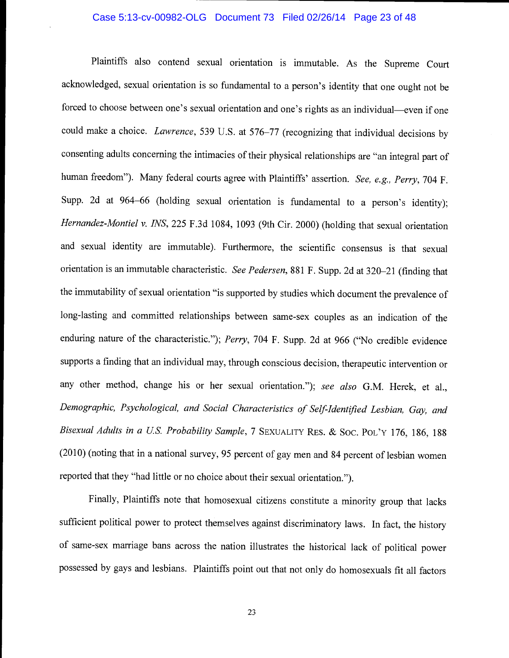## Case 5:13-cv-00982-OLG Document 73 Filed 02/26/14 Page 23 of 48

Plaintiffs also contend sexual orientation is immutable. As the Supreme Court acknowledged, sexual orientation is so fundamental to a person's identity that one ought not be forced to choose between one's sexual orientation and one's rights as an individual-even if one could make a choice. Lawrence, 539 U.S. at 576-77 (recognizing that individual decisions by consenting adults concerning the intimacies of their physical relationships are "an integral part of human freedom"). Many federal courts agree with Plaintiffs' assertion. See, e.g., Perry, 704 F. Supp. 2d at 964-66 (holding sexual orientation is fundamental to a person's identity); Hernandez-Montiel v. INS, 225 F.3d 1084, 1093 (9th Cir. 2000) (holding that sexual orientation and sexual identity are immutable). Furthermore, the scientific consensus is that sexual orientation is an immutable characteristic. See Pedersen, 881 F. Supp. 2d at 320-21 (finding that the immutability of sexual orientation "is supported by studies which document the prevalence of long-lasting and committed relationships between same-sex couples as an indication of the enduring nature of the characteristic."); Perry, 704 F. Supp. 2d at 966 ("No credible evidence supports a finding that an individual may, through conscious decision, therapeutic intervention or any other method, change his or her sexual orientation."); see also G.M. Herek, et al., Demographic, Psychological, and Social Characteristics of Self-Identified Lesbian, Gay, and Bisexual Adults in a US. Probability Sample, 7 SEXUALITY REs. & Soc. POL'Y 176, 186, 188 (2010) (noting that in a national survey, 95 percent of gay men and 84 percent of lesbian women reported that they "had little or no choice about their sexual orientation.")

Finally, Plaintiffs note that homosexual citizens constitute a minority group that lacks sufficient political power to protect themselves against discriminatory laws. In fact, the history of same-sex marriage bans across the nation illustrates the historical lack of political power possessed by gays and lesbians. Plaintiffs point out that not only do homosexuals fit all factors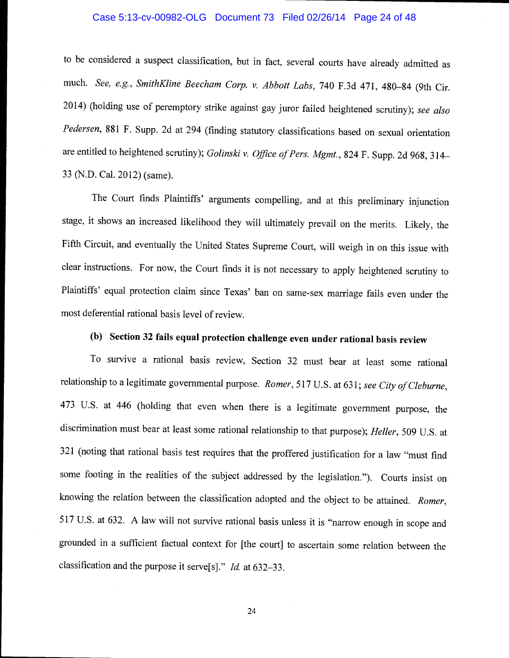## Case 5:13-cv-00982-OLG Document 73 Filed 02/26/14 Page 24 of 48

to be considered a suspect classification, but in fact, several courts have already admitted as much. See, e.g., SmithKline Beecham Corp. v. Abbott Labs, 740 F.3d 471, 480-84 (9th Cir. 2014) (holding use of peremptory strike against gay juror failed heightened scrutiny); see also Pedersen, 881 F. Supp. 2d at 294 (finding statutory classifications based on sexual orientation are entitled to heightened scrutiny); Golinski v. Office of Pers. Mgmt., 824 F. Supp. 2d 968, 314 33 (N.D. Cal. 2012) (same).

The Court finds Plaintiffs' arguments compelling, and at this preliminary injunction stage, it shows an increased likelihood they will ultimately prevail on the merits. Likely, the Fifth Circuit, and eventually the United States Supreme Court, will weigh in on this issue with clear instructions. For now, the Court finds it is not necessary to apply heightened scrutiny to Plaintiffs' equal protection claim since Texas' ban on same-sex marriage fails even under the most deferential rational basis level of review.

# (b) Section 32 fails equal protection challenge even under rational basis review

To survive a rational basis review, Section 32 must bear at least some rational relationship to a legitimate governmental purpose. Romer, 517 U.S. at 631; see City of Cleburne, <sup>473</sup>U.S. at 446 (holding that even when there is a legitimate government purpose, the discrimination must bear at least some rational relationship to that purpose); Heller, 509 U.S. at <sup>321</sup>(noting that rational basis test requires that the proffered justification for a law "must find some footing in the realities of the subject addressed by the legislation."). Courts insist on knowing the relation between the classification adopted and the object to be attained. Romer, 517 U.S. at 632. A law will not survive rational basis unless it is "narrow enough in scope and grounded in a sufficient factual context for [the court] to ascertain some relation between the classification and the purpose it serve[s]." Id. at 632-33.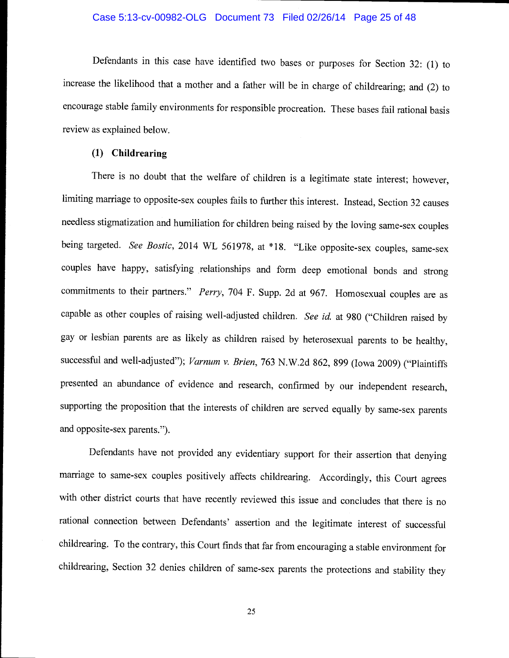## Case 5:13-cv-00982-OLG Document 73 Filed 02/26/14 Page 25 of 48

Defendants in this case have identified two bases or purposes for Section 32: (1) to increase the likelihood that a mother and a father will be in charge of childrearing; and (2) to encourage stable family environments for responsible procreation. These bases fail rational basis review as explained below.

## (1) Childrearing

There is no doubt that the welfare of children is a legitimate state interest; however, limiting marriage to opposite-sex couples fails to further this interest. Instead, Section 32 causes needless stigmatization and humiliation for children being raised by the loving same-sex couples being targeted. See Bostic, 2014 WL 561978, at \*18. "Like opposite-sex couples, same-sex couples have happy, satisfying relationships and form deep emotional bonds and strong commitments to their partners." Perry, 704 F. Supp. 2d at 967. Homosexual couples are as capable as other couples of raising well-adjusted children. See id. at 980 ("Children raised by gay or lesbian parents are as likely as children raised by heterosexual parents to be healthy, successful and well-adjusted"); Varnum v. Brien, 763 N.W.2d 862, 899 (Iowa 2009) ("Plaintiffs presented an abundance of evidence and research, confirmed by our independent research, supporting the proposition that the interests of children are served equally by same-sex parents and opposite-sex parents.")

Defendants have not provided any evidentiary support for their assertion that denying marriage to same-sex couples positively affects childrearing. Accordingly, this Court agrees with other district courts that have recently reviewed this issue and concludes that there is no rational connection between Defendants' assertion and the legitimate interest of successful childrearing. To the contrary, this Court finds that far from encouraging a stable environment for childrearing, Section 32 denies children of same-sex parents the protections and stability they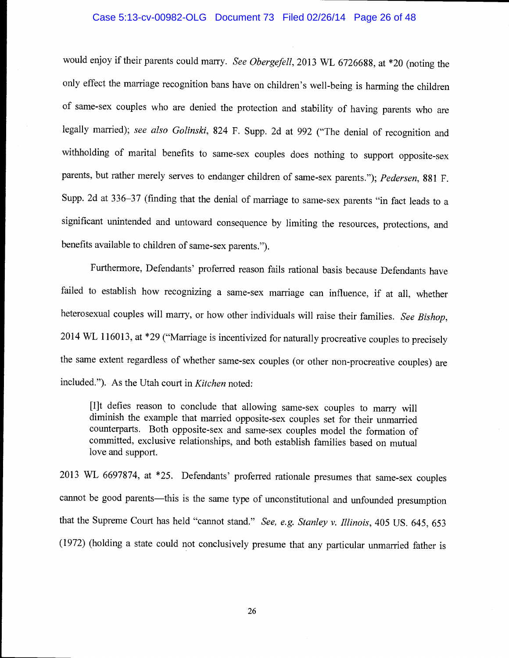## Case 5:13-cv-00982-OLG Document 73 Filed 02/26/14 Page 26 of 48

would enjoy if their parents could marry. See Obergefell, 2013 WL 6726688, at \*20 (noting the only effect the marriage recognition bans have on children's weli-being is harming the children of same-sex couples who are denied the protection and stability of having parents who are legally married); see also Golinski, 824 F. Supp. 2d at 992 ("The denial of recognition and withholding of marital benefits to same-sex couples does nothing to support opposite-sex parents, but rather merely serves to endanger children of same-sex parents."); Pedersen, 881 F. Supp. 2d at 336-37 (finding that the denial of marriage to same-sex parents "in fact leads to a significant unintended and untoward consequence by limiting the resources, protections, and benefits available to children of same-sex parents.")

Furthermore, Defendants' proferred reason fails rational basis because Defendants have failed to establish how recognizing a same-sex marriage can influence, if at all, whether heterosexual couples will marry, or how other individuals will raise their families. See Bishop, 2014 WL 116013, at \*29 ("Marriage is incentivized for naturally procreative couples to precisely the same extent regardless of whether same-sex couples (or other non-procreative couples) are included."). As the Utah court in *Kitchen* noted:

[lit defies reason to conclude that allowing same-sex couples to marry will diminish the example that married opposite-sex couples set for their unmarried counterparts. Both opposite-sex and same-sex couples model the formation of committed, exclusive relationships, and both establish families based on mutual love and support.

2013 WL 6697874, at \*25. Defendants' proferred rationale presumes that same-sex couples cannot be good parents—this is the same type of unconstitutional and unfounded presumption that the Supreme Court has held "cannot stand." See, e.g. Stanley v. Illinois, 405 US. 645, 653 (1972) (holding a state could not conclusively presume that any particular unmarried father is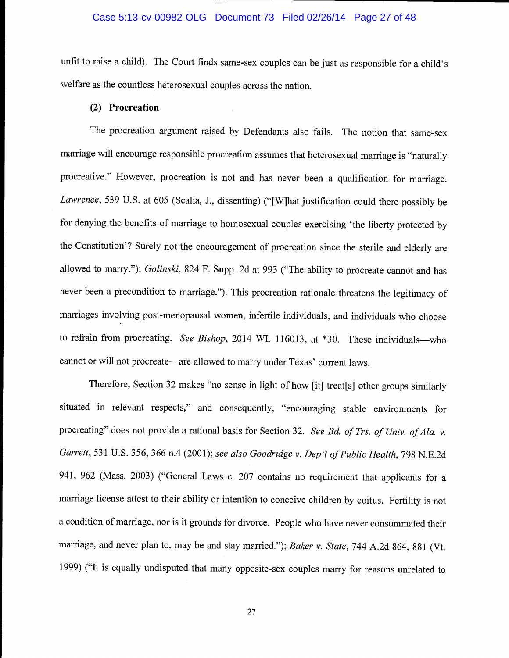## Case 5:13-cv-00982-OLG Document 73 Filed 02/26/14 Page 27 of 48

unfit to raise a child). The Court finds same-sex couples can be just as responsible for a child's welfare as the countless heterosexual couples across the nation.

## (2) Procreation

The procreation argument raised by Defendants also fails. The notion that same-sex marriage will encourage responsible procreation assumes that heterosexual marriage is "naturally procreative." However, procreation is not and has never been a qualification for marriage. Lawrence, 539 U.S. at 605 (Scalia, J., dissenting) ("[W]hat justification could there possibly be for denying the benefits of marriage to homosexual couples exercising 'the liberty protected by the Constitution'? Surely not the encouragement of procreation since the sterile and elderly are allowed to marry."); Golinski, 824 F. Supp. 2d at 993 ("The ability to procreate cannot and has never been a precondition to marriage."). This procreation rationale threatens the legitimacy of marriages involving post-menopausal women, infertile individuals, and individuals who choose to refrain from procreating. See Bishop, 2014 WL 116013, at  $*30$ . These individuals-who cannot or will not procreate—are allowed to marry under Texas' current laws.

Therefore, Section 32 makes "no sense in light of how [it] treat[s] other groups similarly situated in relevant respects," and consequently, "encouraging stable environments for procreating" does not provide a rational basis for Section 32. See Bd. of Trs. of Univ. of Ala. v. Garrett, 531 U.S. 356, 366 n.4 (2001); see also Goodridge v. Dep't of Public Health, 798 N.E.2d 941, 962 (Mass. 2003) ("General Laws c. 207 contains no requirement that applicants for a marriage license attest to their ability or intention to conceive children by coitus. Fertility is not a condition of marriage, nor is it grounds for divorce. People who have never consummated their marriage, and never plan to, may be and stay married."); Baker v. State, 744 A.2d 864, 881 (Vt. 1999) ("It is equally undisputed that many opposite-sex couples marry for reasons unrelated to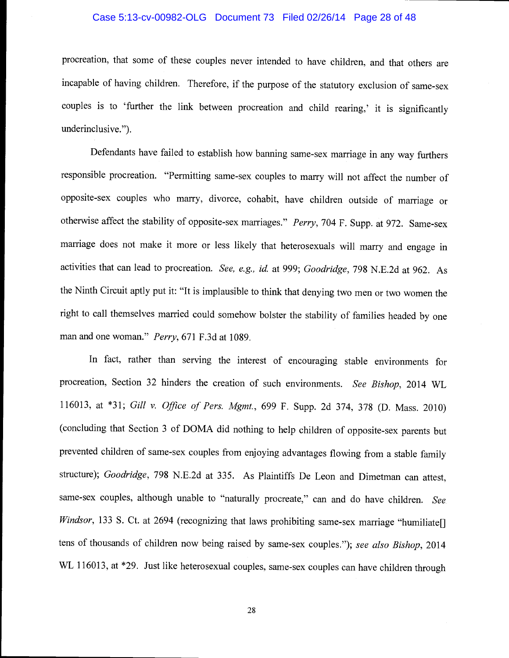## Case 5:13-cv-00982-OLG Document 73 Filed 02/26/14 Page 28 of 48

procreation, that some of these couples never intended to have children, and that others are incapable of having children. Therefore, if the purpose of the statutory exclusion of same-sex couples is to 'further the link between procreation and child rearing,' it is significantly underinclusive.").

Defendants have failed to establish how banning same-sex marriage in any way furthers responsible procreation. "Permitting same-sex couples to marry will not affect the number of opposite-sex couples who marry, divorce, cohabit, have children outside of marriage or otherwise affect the stability of opposite-sex marriages." Perry, 704 F. Supp. at 972. Same-sex marriage does not make it more or less likely that heterosexuals will marry and engage in activities that can lead to procreation. See, e.g., id. at 999; Goodridge, 798 N.E.2d at 962. As the Ninth Circuit aptly put it: "It is implausible to think that denying two men or two women the right to call themselves married could somehow bolster the stability of families headed by one man and one woman." Perry, 671 F.3d at 1089.

In fact, rather than serving the interest of encouraging stable environments for procreation, Section 32 hinders the creation of such environments. See Bishop, 2014 WL 116013, at \*31; Gill v. Office of Pers. Mgmt., 699 F. Supp. 2d 374, 378 (D. Mass. 2010) (concluding that Section 3 of DOMA did nothing to help children of opposite-sex parents but prevented children of same-sex couples from enjoying advantages flowing from a stable family structure); Goodridge, 798 N.E.2d at 335. As Plaintiffs De Leon and Dimetman can attest, same-sex couples, although unable to "naturally procreate," can and do have children. See Windsor, 133 S. Ct. at 2694 (recognizing that laws prohibiting same-sex marriage "humiliate[] tens of thousands of children now being raised by same-sex couples."); see also Bishop, 2014 WL 116013, at \*29. Just like heterosexual couples, same-sex couples can have children through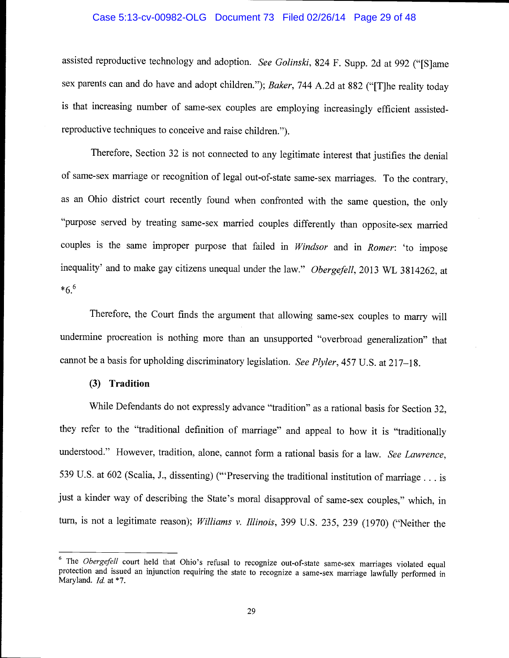## Case 5:13-cv-00982-OLG Document 73 Filed 02/26/14 Page 29 of 48

assisted reproductive technology and adoption. See Golinski, 824 F. Supp. 2d at 992 ("[S]ame sex parents can and do have and adopt children."); Baker, 744 A.2d at 882 ("[T]he reality today is that increasing number of same-sex couples are employing increasingly efficient assistedreproductive techniques to conceive and raise children.")

Therefore, Section 32 is not connected to any legitimate interest that justifies the denial of same-sex marriage or recognition of legal out-of-state same-sex marriages. To the contrary, as an Ohio district court recently found when confronted with the same question, the only "purpose served by treating same-sex married couples differently than opposite-sex married couples is the same improper purpose that failed in Windsor and in Romer: 'to impose inequality' and to make gay citizens unequal under the law." Obergefell, 2013 WL 3814262, at  $*6.6$ 

Therefore, the Court finds the argument that allowing same-sex couples to marry will undermine procreation is nothing more than an unsupported "overbroad generalization" that cannot be a basis for upholding discriminatory legislation. See Plyler, 457 U.S. at 217-18.

#### (3) Tradition

While Defendants do not expressly advance "tradition" as a rational basis for Section 32, they refer to the "traditional definition of marriage" and appeal to how it is "traditionally understood." However, tradition, alone, cannot form a rational basis for a law. See Lawrence, 539 U.S. at 602 (Scalia, J., dissenting) ("Preserving the traditional institution of marriage. . . is just a kinder way of describing the State's moral disapproval of same-sex couples," which, in turn, is not a legitimate reason); Williams v. Illinois, 399 U.S. 235, 239 (1970) ("Neither the

<sup>&</sup>lt;sup>6</sup> The *Obergefell* court held that Ohio's refusal to recognize out-of-state same-sex marriages violated equal protection and issued an injunction requiring the state to recognize a same-sex marriage lawfully performed in Maryland. *Id.* at \*7.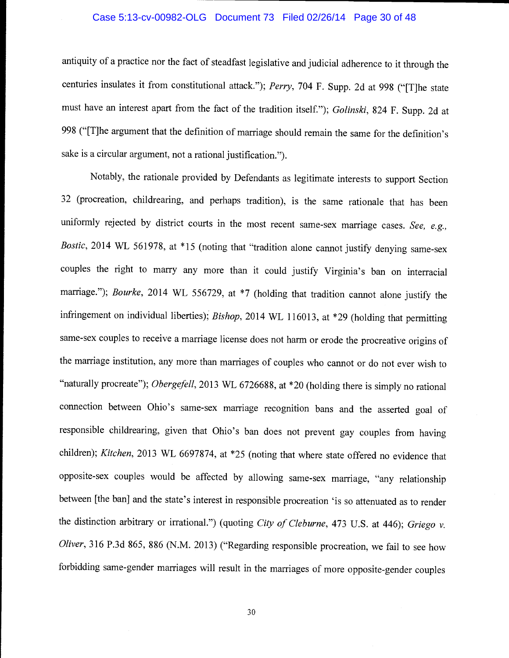## Case 5:13-cv-00982-OLG Document 73 Filed 02/26/14 Page 30 of 48

antiquity of a practice nor the fact of steadfast legislative and judicial adherence to it through the centuries insulates it from constitutional attack."); Perry, 704 F. Supp. 2d at 998 ("[T]he state must have an interest apart from the fact of the tradition itself."); Golinski, 824 F. Supp. 2d at <sup>998</sup>("[TJhe argument that the definition of marriage should remain the same for the definition's sake is a circular argument, not a rational justification.").

Notably, the rationale provided by Defendants as legitimate interests to support Section 32 (procreation, childrearing, and perhaps tradition), is the same rationale that has been uniformly rejected by district courts in the most recent same-sex marriage cases. See,  $e.g.,$ Bostic, 2014 WL 561978, at \*15 (noting that "tradition alone cannot justify denying same-sex couples the right to marry any more than it could justify Virginia's ban on interracial marriage."); *Bourke*, 2014 WL 556729, at \*7 (holding that tradition cannot alone justify the infringement on individual liberties); Bishop, 2014 WL 116013, at \*29 (holding that permitting same-sex couples to receive a marriage license does not harm or erode the procreative origins of the marriage institution, any more than marriages of couples who cannot or do not ever wish to "naturally procreate"); Obergefell, 2013 WL 6726688, at \*20 (holding there is simply no rational connection between Ohio's same-sex marriage recognition bans and the asserted goal of responsible childrearing, given that Ohio's ban does not prevent gay couples from having children); Kitchen, 2013 WL 6697874, at \*25 (noting that where state offered no evidence that opposite-sex couples would be affected by allowing same-sex marriage, "any relationship between [the ban] and the state's interest in responsible procreation 'is so attenuated as to render the distinction arbitrary or irrational.") (quoting City of Cleburne, 473 U.S. at 446); Griego v. Oliver, 316 P.3d 865, 886 (N.M. 2013) ("Regarding responsible procreation, we fail to see how forbidding same-gender marriages will result in the marriages of more opposite-gender couples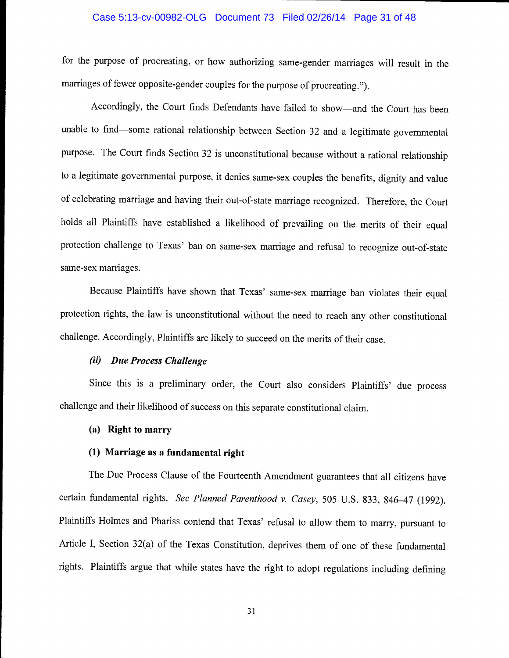## Case 5:13-cv-00982-OLG Document 73 Filed 02/26/14 Page 31 of 48

for the purpose of procreating, or how authorizing same-gender marriages will result in the marriages of fewer opposite-gender couples for the purpose of procreating.").

Accordingly, the Court finds Defendants have failed to show-and the Court has been unable to find—some rational relationship between Section 32 and a legitimate governmental purpose. The Court finds Section 32 is unconstitutional because without a rational relationship to a legitimate governmental purpose, it denies same-sex couples the benefits, dignity and value of celebrating marriage and having their out-of-state marriage recognized. Therefore, the Court holds all Plaintiffs have established a likelihood of prevailing on the merits of their equal protection challenge to Texas' ban on same-sex marriage and refusal to recognize out-of-state same-sex marriages.

Because Plaintiffs have shown that Texas' same-sex marriage ban violates their equal protection rights, the law is unconstitutional without the need to reach any other constitutional challenge. Accordingly, Plaintiffs are likely to succeed on the merits of their case.

## (ii) Due Process Challenge

Since this is a preliminary order, the Court also considers Plaintiffs' due process challenge and their likelihood of success on this separate constitutional claim.

#### (a) Right to marry

## (1) Marriage as a fundamental right

The Due Process Clause of the Fourteenth Amendment guarantees that all citizens have certain fundamental rights. See Planned Parenthood v. Casey, 505 U.S. 833, 846-47 (1992). Plaintiffs Holmes and Phariss contend that Texas' refusal to allow them to marry, pursuant to Article I, Section 32(a) of the Texas Constitution, deprives them of one of these fundamental rights. Plaintiffs argue that while states have the right to adopt regulations including defining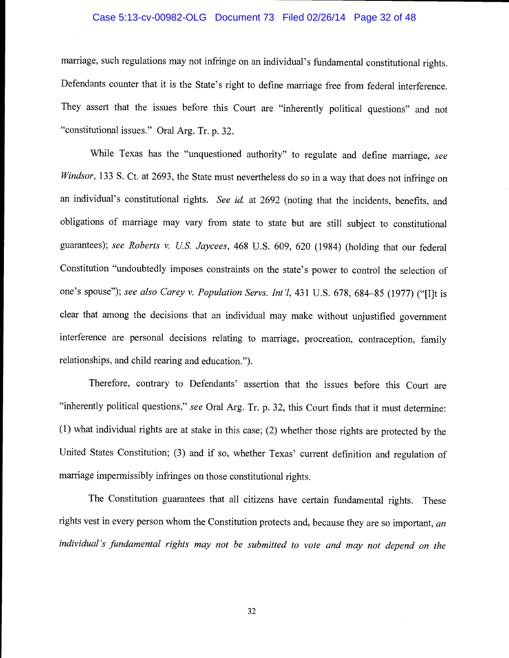### Case 5:13-cv-00982-OLG Document 73 Filed 02/26/14 Page 32 of 48

marriage, such regulations may not infringe on an individual's fundamental constitutional rights. Defendants counter that it is the State's right to define marriage free from federal interference. They assert that the issues before this Court are "inherently political questions" and not "constitutional issues." Oral Arg. Tr. p. 32.

While Texas has the "unquestioned authority" to regulate and define marriage, see Windsor, 133 S. Ct. at 2693, the State must nevertheless do so in a way that does not infringe on an individual's constitutional rights. See id. at 2692 (noting that the incidents, benefits, and obligations of marriage may vary from state to state but are still subject to constitutional guarantees); see Roberts v. US. Jaycees, 468 U.S. 609, 620 (1984) (holding that our federal Constitution "undoubtedly imposes constraints on the state's power to control the selection of one's spouse"); see also Carey v. Population Servs. Int'l, 431 U.S. 678, 684-85 (1977) ("[I]t is clear that among the decisions that an individual may make without unjustified government interference are personal decisions relating to marriage, procreation, contraception, family relationships, and child rearing and education.").

Therefore, contrary to Defendants' assertion that the issues before this Court are "inherently political questions," see Oral Arg. Tr. p. 32, this Court finds that it must determine: (1) what individual rights are at stake in this case; (2) whether those rights are protected by the United States Constitution; (3) and if so, whether Texas' current definition and regulation of marriage impermissibly infringes on those constitutional rights.

The Constitution guarantees that all citizens have certain fundamental rights. These rights vest in every person whom the Constitution protects and, because they are so important, an individual 's fundamental rights may not be submitted to vote and may not depend on the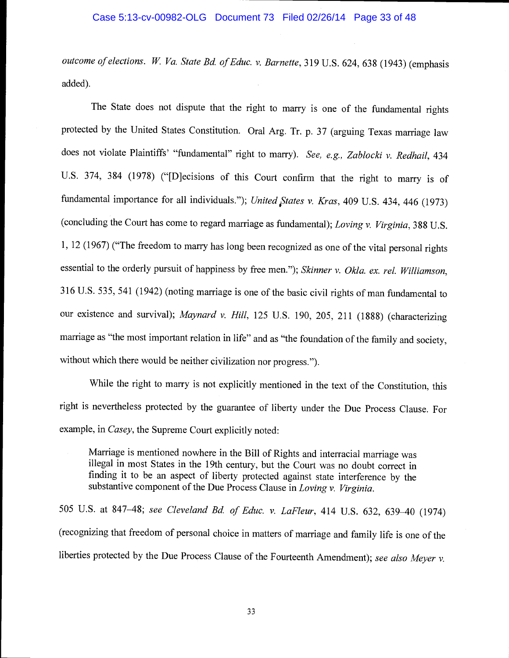#### Case 5:13-cv-00982-OLG Document 73 Filed 02/26/14 Page 33 of 48

outcome of elections. W. Va. State Bd. of Educ. v. Barnette, 319 U.S. 624, 638 (1943) (emphasis added).

The State does not dispute that the right to marry is one of the fundamental rights protected by the United States Constitution. Oral Arg. Tr. p. 37 (arguing Texas marriage law does not violate Plaintiffs' "fundamental" right to marry). See, e.g., Zablocki v. Redhail, 434 U.S. 374, 384 (1978) ("[D]ecisions of this Court confirm that the right to marry is of fundamental importance for all individuals."); United States v. Kras, 409 U.S. 434, 446 (1973) (concluding the Court has come to regard marriage as fundamental); Loving v. Virginia, 388 U.S. 1, 12 (1967) ("The freedom to marry has long been recognized as one of the vital personal rights essential to the orderly pursuit of happiness by free men."); Skinner v. Okla. ex. rel. Williamson, <sup>316</sup>U.S. 535, 541(1942) (noting marriage is one of the basic civil rights of man fundamental to our existence and survival); Maynard v. Hill, 125 U.S. 190, 205, 211 (1888) (characterizing marriage as "the most important relation in life" and as "the foundation of the family and society, without which there would be neither civilization nor progress.").

While the right to marry is not explicitly mentioned in the text of the Constitution, this right is nevertheless protected by the guarantee of liberty under the Due Process Clause. For example, in Casey, the Supreme Court explicitly noted:

Marriage is mentioned nowhere in the Bill of Rights and interracial marriage was illegal in most States in the 19th century, but the Court was no doubt correct in finding it to be an aspect of liberty protected against state interference by the substantive component of the Due Process Clause in *Loving v. Virginia*.

<sup>505</sup>U.S. at 847-48; see Cleveland Bd. of Educ. v. LaFleur, 414 U.S. 632, 639-40 (1974) (recognizing that freedom of personal choice in matters of marriage and family life is one of the liberties protected by the Due Process Clause of the Fourteenth Amendment); see also Meyer v.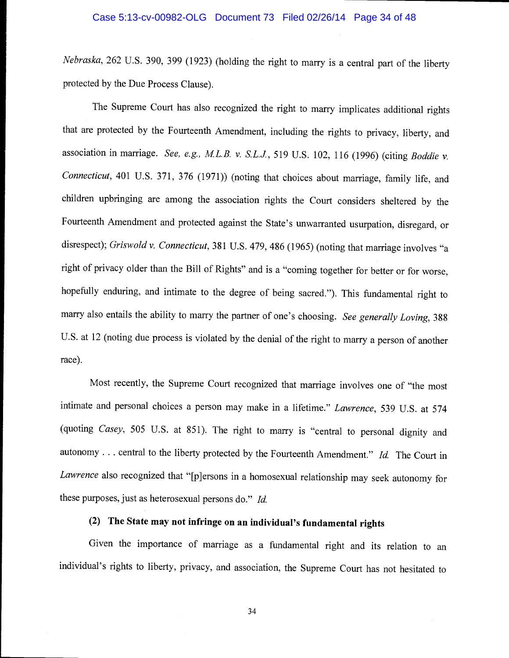Nebraska, 262 U.S. 390, 399 (1923) (holding the right to marry is a central part of the liberty protected by the Due Process Clause).

The Supreme Court has also recognized the right to marry implicates additional rights that are protected by the Fourteenth Amendment, including the rights to privacy, liberty, and association in marriage. See, e.g., M.L.B. v. S.L.J., 519 U.S. 102, 116 (1996) (citing Boddie v. Connecticut, 401 U.S. 371, 376 (1971)) (noting that choices about marriage, family life, and children upbringing are among the association rights the Court considers sheltered by the Fourteenth Amendment and protected against the State's unwarranted usurpation, disregard, or disrespect); Griswold v. Connecticut, 381 U.S. 479, 486 (1965) (noting that marriage involves "a right of privacy older than the Bill of Rights" and is a "coming together for better or for worse, hopefully enduring, and intimate to the degree of being sacred."). This fundamental right to marry also entails the ability to marry the partner of one's choosing. See generally Loving, 388 U.S. at 12 (noting due process is violated by the denial of the right to marry a person of another race).

Most recently, the Supreme Court recognized that marriage involves one of "the most intimate and personal choices a person may make in a lifetime." Lawrence, 539 U.S. at <sup>574</sup> (quoting Casey, 505 U.S. at 851). The right to marry is "central to personal dignity and autonomy... central to the liberty protected by the Fourteenth Amendment." Id. The Court in Lawrence also recognized that "{p]ersons in a homosexual relationship may seek autonomy for these purposes, just as heterosexual persons do." Id.

# (2) The State may not infringe on an individual's fundamental rights

Given the importance of marriage as a fundamental right and its relation to an individual's rights to liberty, privacy, and association, the Supreme Court has not hesitated to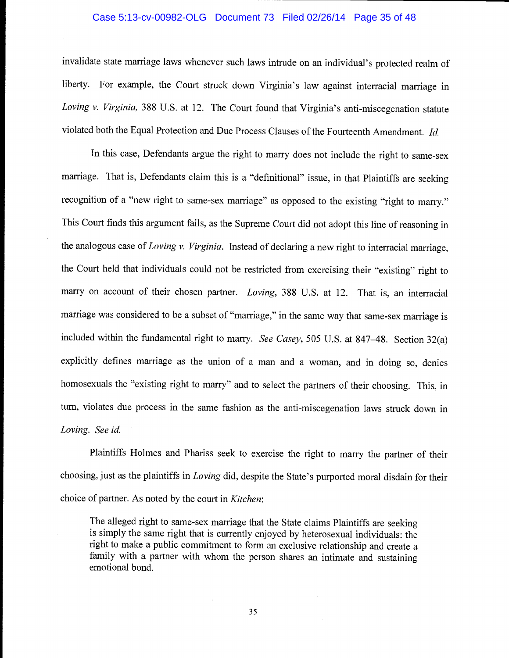## Case 5:13-cv-00982-OLG Document 73 Filed 02/26/14 Page 35 of 48

invalidate state marriage laws whenever such laws intrude on an individual's protected realm of liberty. For example, the Court struck down Virginia's law against interracial marriage in Loving v. Virginia, 388 U.S. at 12. The Court found that Virginia's anti-miscegenation statute violated both the Equal Protection and Due Process Clauses of the Fourteenth Amendment. Id,

In this case, Defendants argue the right to marry does not include the right to same-sex marriage. That is, Defendants claim this is a "definitional" issue, in that Plaintiffs are seeking recognition of a "new right to same-sex marriage" as opposed to the existing "right to marry." This Court finds this argument fails, as the Supreme Court did not adopt this line of reasoning in the analogous case of Loving v. Virginia. Instead of declaring a new right to interracial marriage, the Court held that individuals could not be restricted from exercising their "existing" right to marry on account of their chosen partner. Loving, 388 U.S. at 12. That is, an interracial marriage was considered to be a subset of "marriage," in the same way that same-sex marriage is included within the fundamental right to marry. See Casey, 505 U.S. at 847–48. Section 32(a) explicitly defines marriage as the union of a man and a woman, and in doing so, denies homosexuals the "existing right to marry" and to select the partners of their choosing. This, in turn, violates due process in the same fashion as the anti-miscegenation laws struck down in Loving. See id.

Plaintiffs Holmes and Phariss seek to exercise the right to marry the partner of their choosing, just as the plaintiffs in Loving did, despite the State's purported moral disdain for their choice of partner. As noted by the court in Kitchen:

The alleged right to same-sex marriage that the State claims Plaintiffs are seeking is simply the same right that is currently enjoyed by heterosexual individuals: the right to make a public commitment to form an exclusive relationship and create a family with a partner with whom the person shares an intimate and sustaining emotional bond.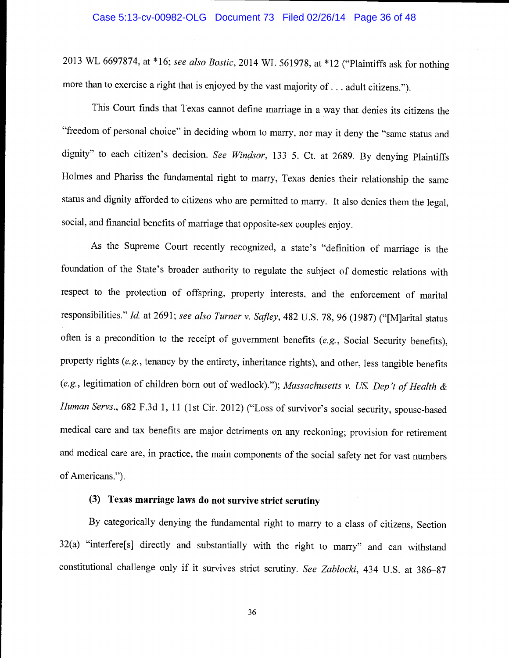2013 WL 6697874, at \*16; see also Bostic, 2014 WL 561978, at \*12 ("Plaintiffs ask for nothing more than to exercise a right that is enjoyed by the vast majority of. . . adult citizens.").

This Court finds that Texas cannot define marriage in a way that denies its citizens the "freedom of personal choice" in deciding whom to marry, nor may it deny the "same status and dignity" to each citizen's decision. See Windsor, 133 5. Ct. at 2689. By denying Plaintiffs Holmes and Phariss the fundamental right to marry, Texas denies their relationship the same status and dignity afforded to citizens who are permitted to marry. It also denies them the legal, social, and financial benefits of marriage that opposite-sex couples enjoy.

As the Supreme Court recently recognized, a state's "definition of marriage is the foundation of the State's broader authority to regulate the subject of domestic relations with respect to the protection of offspring, property interests, and the enforcement of marital responsibilities." Id. at 2691; see also Turner v. Safley, 482 U.S. 78, 96 (1987) ("[M]arital status often is a precondition to the receipt of government benefits (e.g., Social Security benefits), property rights (e.g., tenancy by the entirety, inheritance rights), and other, less tangible benefits (e.g., legitimation of children born out of wedlock)."); Massachusetts v. US. Dep 't of Health & Human Servs., 682 F.3d 1, 11 (1st Cir. 2012) ("Loss of survivor's social security, spouse-based medical care and tax benefits are major detriments on any reckoning; provision for retirement and medical care are, in practice, the main components of the social safety net for vast numbers of Americans.")

## (3) Texas marriage laws do not survive strict scrutiny

By categorically denying the fundamental right to marry to a class of citizens, Section 32(a) "interfere[sJ directly and substantially with the right to marry" and can withstand constitutional challenge only if it survives strict scrutiny. See Zablocki, 434 U.S. at 386-87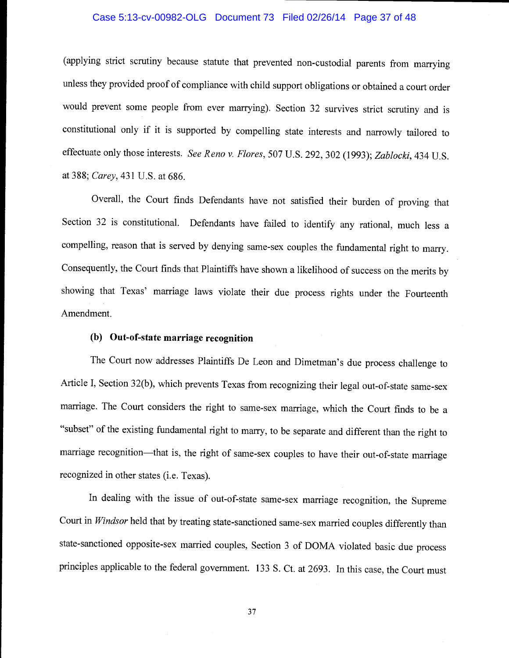## Case 5:13-cv-00982-OLG Document 73 Filed 02/26/14 Page 37 of 48

(applying strict scrutiny because statute that prevented non-custodial parents from marrying unless they provided proof of compliance with child support obligations or obtained a court order would prevent some people from ever marrying). Section 32 survives strict scrutiny and is constitutional only if it is supported by compelling state interests and narrowly tailored to effectuate only those interests. See Reno v. Flores, 507 U.S. 292, 302 (1993); Zablocki, 434 U.S. at 388; Carey, 431 U.S. at 686.

Overall, the Court finds Defendants have not satisfied their burden of proving that Section 32 is constitutional. Defendants have failed to identify any rational, much less a compelling, reason that is served by denying same-sex couples the fundamental right to marry. Consequently, the Court finds that Plaintiffs have shown a likelihood of success on the merits by showing that Texas' marriage laws violate their due process rights under the Fourteenth Amendment.

## (b) Out-of-state marriage recognition

The Court now addresses Plaintiffs De Leon and Dimetman's due process challenge to Article I, Section 32(b), which prevents Texas from recognizing their legal out-of-state same-sex marriage. The Court considers the right to same-sex marriage, which the Court finds to be a "subset" of the existing fundamental right to marry, to be separate and different than the right to marriage recognition—that is, the right of same-sex couples to have their out-of-state marriage recognized in other states (i.e. Texas).

In dealing with the issue of out-of-state same-sex marriage recognition, the Supreme Court in Windsor held that by treating state-sanctioned same-sex married couples differently than state-sanctioned opposite-sex married couples, Section 3 of DOMA violated basic due process principles applicable to the federal government. 133 5. Ct. at 2693. In this case, the Court must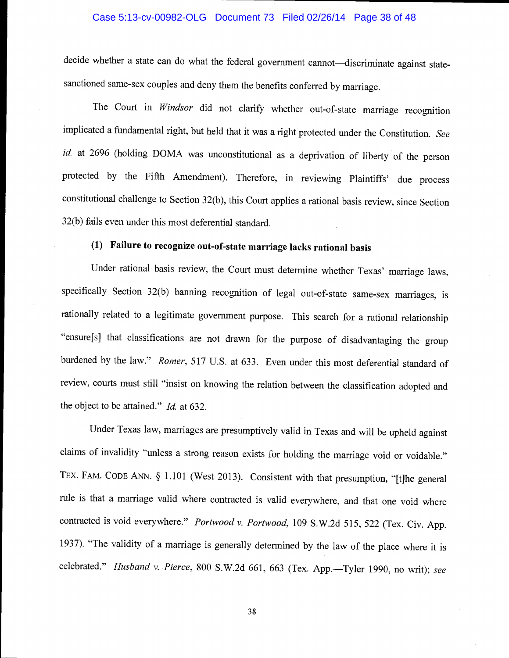## Case 5:13-cv-00982-OLG Document 73 Filed 02/26/14 Page 38 of 48

decide whether a state can do what the federal government cannot—discriminate against statesanctioned same-sex couples and deny them the benefits conferred by marriage.

The Court in Windsor did not clarify whether out-of-state marriage recognition implicated a fundamental right, but held that it was a right protected under the Constitution. See id. at 2696 (holding DOMA was unconstitutional as a deprivation of liberty of the person protected by the Fifth Amendment). Therefore, in reviewing Plaintiffs' due process constitutional challenge to Section 32(b), this Court applies a rational basis review, since Section 32(b) fails even under this most deferential standard.

# (1) Failure to recognize out-of-state marriage lacks rational basis

Under rational basis review, the Court must determine whether Texas' marriage laws, specifically Section 32(b) banning recognition of legal out-of-state same-sex marriages, is rationally related to a legitimate government purpose. This search for a rational relationship "ensure[sI that classifications are not drawn for the purpose of disadvantaging the group burdened by the law." Romer, 517 U.S. at 633. Even under this most deferential standard of review, courts must still "insist on knowing the relation between the classification adopted and the object to be attained."  $Id.$  at 632.

Under Texas law, marriages are presumptively valid in Texas and will be upheld against claims of invalidity "unless a strong reason exists for holding the marriage void or voidable." TEX. FAM. CODE ANN. § 1.101 (West 2013). Consistent with that presumption, "[t]he general rule is that a marriage valid where contracted is valid everywhere, and that one void where contracted is void everywhere." Portwood v. Portwood, 109 S.W.2d 515, 522 (Tex. Civ. App. 1937). "The validity of a marriage is generally determined by the law of the place where it is celebrated." Husband v. Pierce, 800 S.W.2d 661, 663 (Tex. App.-Tyler 1990, no writ); see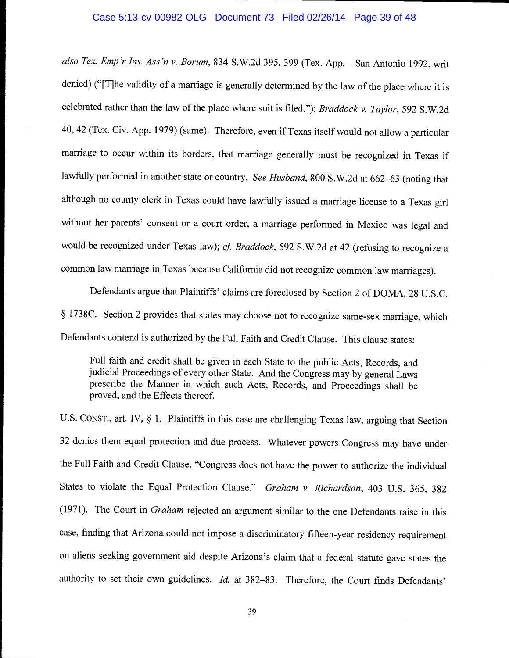## Case 5:13-cv-00982-OLG Document 73 Filed 02/26/14 Page 39 of 48

also Tex. Emp'r Ins. Ass'n v, Borum, 834 S.W.2d 395, 399 (Tex. App.-San Antonio 1992, writ denied) ("[T]he validity of a marriage is generally determined by the law of the place where it is celebrated rather than the law of the place where suit is filed."); Braddock v. Taylor, 592 S.W.2d 40, 42 (Tex. Civ. App. 1979) (same). Therefore, even if Texas itself would not allow a particular marriage to occur within its borders, that marriage generally must be recognized in Texas if lawfully performed in another state or country. See Husband, 800 S.W.2d at 662-63 (noting that although no county clerk in Texas could have lawfully issued a marriage license to a Texas girl without her parents' consent or a court order, a marriage performed in Mexico was legal and would be recognized under Texas law); cf. Braddock, 592 S.W.2d at 42 (refusing to recognize a common law marriage in Texas because California did not recognize common law marriages).

Defendants argue that Plaintiffs' claims are foreclosed by Section 2 of DOMA, 28 U.S.C. § 1738C. Section 2 provides that states may choose not to recognize same-sex marriage, which Defendants contend is authorized by the Full Faith and Credit Clause. This clause states:

Full faith and credit shall be given in each State to the public Acts, Records, and judicial Proceedings of every other State. And the Congress may by general Laws prescribe the Manner in which such Acts, Records, and Proceedings shall be proved, and the Effects thereof

U.S. CONST., art. IV, § 1. Plaintiffs in this case are challenging Texas law, arguing that Section 32 denies them equal protection and due process. Whatever powers Congress may have under the Full Faith and Credit Clause, "Congress does not have the power to authorize the individual States to violate the Equal Protection Clause." Graham v. Richardson, 403 U.S. 365, 382 (1971). The Court in Graham rejected an argument similar to the one Defendants raise in this case, finding that Arizona could not impose a discriminatory fifteen-year residency requirement on aliens seeking government aid despite Arizona's claim that a federal statute gave states the authority to set their own guidelines. Id. at 382-83. Therefore, the Court finds Defendants'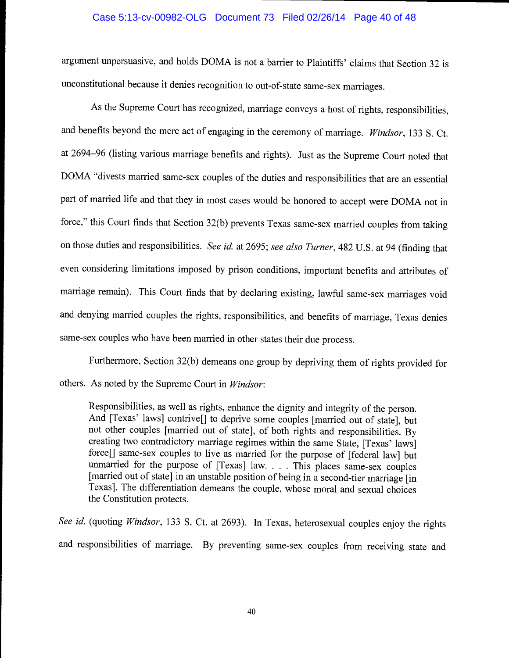## Case 5:13-cv-00982-OLG Document 73 Filed 02/26/14 Page 40 of 48

argument unpersuasive, and holds DOMA is not a barrier to Plaintiffs' claims that Section 32 is unconstitutional because it denies recognition to out-of-state same-sex marriages.

As the Supreme Court has recognized, marriage conveys a host of rights, responsibilities, and benefits beyond the mere act of engaging in the ceremony of marriage. Windsor, 133 S. Ct. at 2694-96 (listing various marriage benefits and rights). Just as the Supreme Court noted that DOMA "divests married same-sex couples of the duties and responsibilities that are an essential part of married life and that they in most cases would be honored to accept were DOMA not in force," this Court finds that Section 32(b) prevents Texas same-sex married couples from taking on those duties and responsibilities. See id. at 2695; see also Turner, 482 U.S. at 94 (finding that even considering limitations imposed by prison conditions, important benefits and attributes of marriage remain). This Court finds that by declaring existing, lawful same-sex marriages void and denying married couples the rights, responsibilities, and benefits of marriage, Texas denies same-sex couples who have been married in other states their due process.

Furthermore, Section 32(b) demeans one group by depriving them of rights provided for others. As noted by the Supreme Court in Windsor:

Responsibilities, as well as rights, enhance the dignity and integrity of the person. And [Texas' laws] contrive[] to deprive some couples [married out of state], but not other couples [married out of state], of both rights and responsibilities. By creating two contradictory marriage regimes within the same State, [Texas' laws] force[] same-sex couples to live as married for the purpose of [federal law] but unmarried for the purpose of [Texas] law. . . . This places same-sex couples [married out of state] in an unstable position of being in a second-tier marriage [in Texas]. The differentiation demeans the couple, whose moral and sexual choices the Constitution protects.

See id. (quoting Windsor, 133 S. Ct. at 2693). In Texas, heterosexual couples enjoy the rights and responsibilities of marriage. By preventing same-sex couples from receiving state and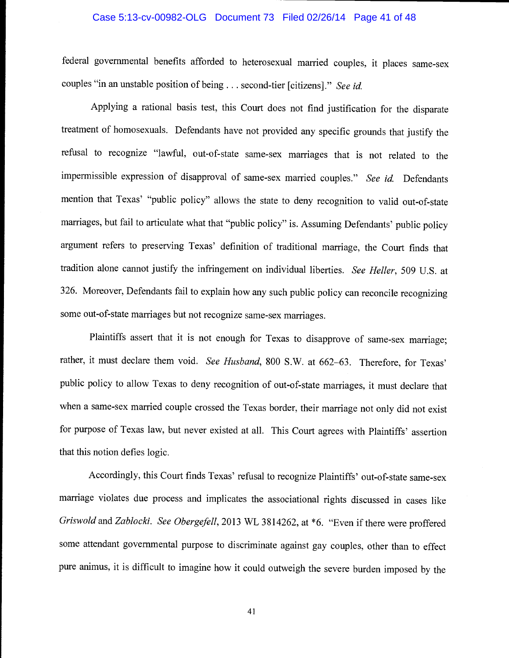## Case 5:13-cv-00982-OLG Document 73 Filed 02/26/14 Page 41 of 48

federal governmental benefits afforded to heterosexual married couples, it places same-sex couples "in an unstable position of being. . . second-tier [citizens]." See id.

Applying a rational basis test, this Court does not find justification for the disparate treatment of homosexuals. Defendants have not provided any specific grounds that justify the refusal to recognize "lawful, out-of-state same-sex marriages that is not related to the impermissible expression of disapproval of same-sex married couples." See id. Defendants mention that Texas' "public policy" allows the state to deny recognition to valid out-of-state marriages, but fail to articulate what that "public policy" is. Assuming Defendants' public policy argument refers to preserving Texas' definition of traditional marriage, the Court finds that tradition alone cannot justify the infringement on individual liberties. See Heller, 509 U.S. at 326. Moreover, Defendants fail to explain how any such public policy can reconcile recognizing some out-of-state marriages but not recognize same-sex marriages.

Plaintiffs assert that it is not enough for Texas to disapprove of same-sex marriage; rather, it must declare them void. See Husband, 800 S.W. at 662-63. Therefore, for Texas' public policy to allow Texas to deny recognition of out-of-state marriages, it must declare that when a same-sex married couple crossed the Texas border, their marriage not only did not exist for purpose of Texas law, but never existed at all. This Court agrees with Plaintiffs' assertion that this notion defies logic.

Accordingly, this Court finds Texas' refusal to recognize Plaintiffs' out-of-state same-sex marriage violates due process and implicates the associational rights discussed in cases like Griswold and Zablocki. See Obergefell, 2013 WL 3814262, at \*6. "Even if there were proffered some attendant governmental purpose to discriminate against gay couples, other than to effect pure animus, it is difficult to imagine how it could outweigh the severe burden imposed by the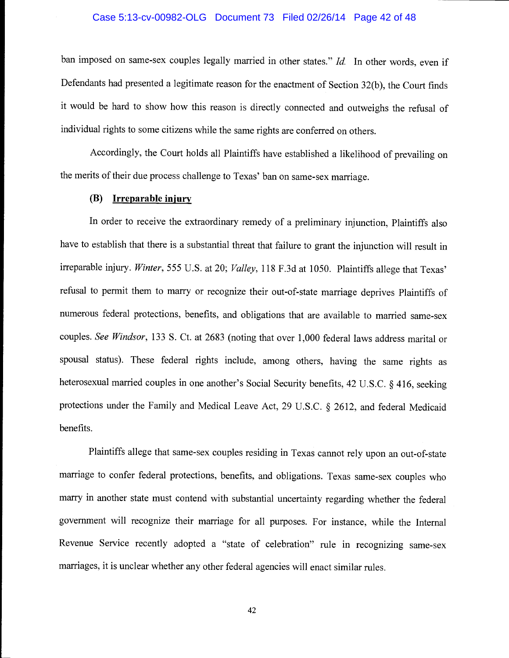## Case 5:13-cv-00982-OLG Document 73 Filed 02/26/14 Page 42 of 48

ban imposed on same-sex couples legally married in other states." Id. In other words, even if Defendants had presented a legitimate reason for the enactment of Section 32(b), the Court finds it would be hard to show how this reason is directly connected and outweighs the refusal of individual rights to some citizens while the same rights are conferred on others.

Accordingly, the Court holds all Plaintiffs have established a likelihood of prevailing on the merits of their due process challenge to Texas' ban on same-sex marriage.

## (B) Irreparable injury

In order to receive the extraordinary remedy of a preliminary injunction, Plaintiffs also have to establish that there is a substantial threat that failure to grant the injunction will result in irreparable injury. Winter, 555 U.S. at 20; Valley, 118 F.3d at 1050. Plaintiffs allege that Texas' refusal to permit them to marry or recognize their out-of-state marriage deprives Plaintiffs of numerous federal protections, benefits, and obligations that are available to married same-sex couples. See Windsor, 133 S. Ct. at 2683 (noting that over 1,000 federal laws address marital or spousal status). These federal rights include, among others, having the same rights as heterosexual married couples in one another's Social Security benefits, 42 U.S.C. § 416, seeking protections under the Family and Medical Leave Act, 29 U.S.C. § 2612, and federal Medicaid benefits.

Plaintiffs allege that same-sex couples residing in Texas cannot rely upon an out-of-state marriage to confer federal protections, benefits, and obligations. Texas same-sex couples who marry in another state must contend with substantial uncertainty regarding whether the federal government will recognize their marriage for all purposes. For instance, while the Internal Revenue Service recently adopted a "state of celebration" rule in recognizing same-sex marriages, it is unclear whether any other federal agencies will enact similar rules.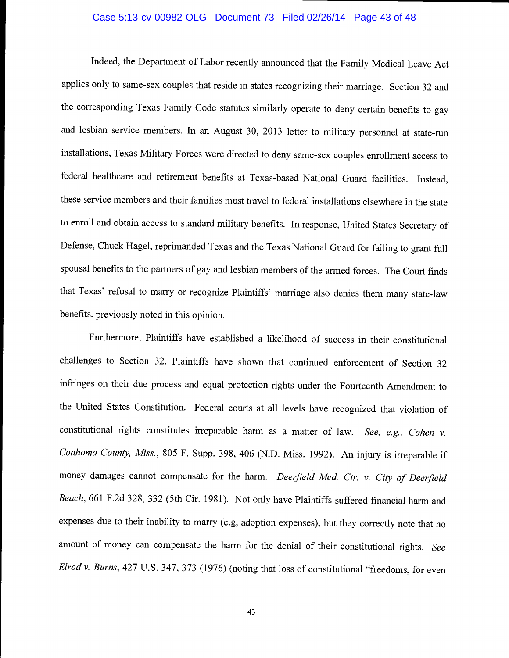## Case 5:13-cv-00982-OLG Document 73 Filed 02/26/14 Page 43 of 48

Indeed, the Department of Labor recently announced that the Family Medical Leave Act applies only to same-sex couples that reside in states recognizing their marriage. Section 32 and the corresponding Texas Family Code statutes similarly operate to deny certain benefits to gay and lesbian service members. In an August 30, 2013 letter to military personnel at state-run installations, Texas Military Forces were directed to deny same-sex couples enrollment access to federal healthcare and retirement benefits at Texas-based National Guard facilities. Instead, these service members and their families must travel to federal installations elsewhere in the state to enroll and obtain access to standard military benefits. In response, United States Secretary of Defense, Chuck Hagel, reprimanded Texas and the Texas National Guard for failing to grant full spousal benefits to the partners of gay and lesbian members of the armed forces. The Court finds that Texas' refusal to marry or recognize Plaintiffs' marriage also denies them many state-law benefits, previously noted in this opinion.

Furthermore, Plaintiffs have established a likelihood of success in their constitutional challenges to Section 32. Plaintiffs have shown that continued enforcement of Section <sup>32</sup> infringes on their due process and equal protection rights under the Fourteenth Amendment to the United States Constitution. Federal courts at all levels have recognized that violation of constitutional rights constitutes irreparable harm as a matter of law. See, e.g., Cohen v. Coahoma County, Miss., 805 F. Supp. 398, 406 (N.D. Miss. 1992). An injury is irreparable if money damages cannot compensate for the harm. Deerfield Med. Ctr. v. City of Deerfield Beach, 661 F.2d 328, 332 (5th Cir. 1981). Not only have Plaintiffs suffered financial harm and expenses due to their inability to marry (e.g, adoption expenses), but they correctly note that no amount of money can compensate the harm for the denial of their constitutional rights. See Elrod v. Burns, 427 U.S. 347, 373 (1976) (noting that loss of constitutional "freedoms, for even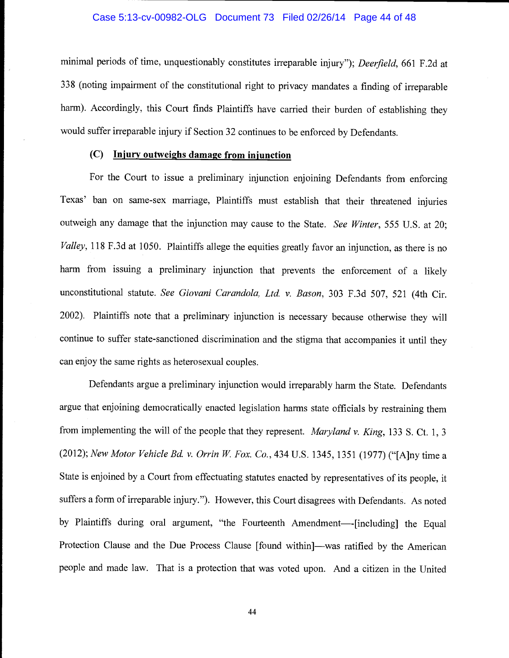## Case 5:13-cv-00982-OLG Document 73 Filed 02/26/14 Page 44 of 48

minimal periods of time, unquestionably constitutes irreparable injury"); Deerfield, 661 F.2d at 338 (noting impairment of the constitutional right to privacy mandates a finding of irreparable harm). Accordingly, this Court finds Plaintiffs have carried their burden of establishing they would suffer irreparable injury if Section 32 continues to be enforced by Defendants.

## $(C)$  Injury outweighs damage from injunction

For the Court to issue a preliminary injunction enjoining Defendants from enforcing Texas' ban on same-sex marriage, Plaintiffs must establish that their threatened injuries outweigh any damage that the injunction may cause to the State. See Winter, 555 U.S. at 20; Valley, 118 F.3d at 1050. Plaintiffs allege the equities greatly favor an injunction, as there is no harm from issuing a preliminary injunction that prevents the enforcement of a likely unconstitutional statute. See Giovani Carandola, Ltd. v. Bason, 303 F.3d 507, 521 (4th Cir. 2002). Plaintiffs note that a preliminary injunction is necessary because otherwise they will continue to suffer state-sanctioned discrimination and the stigma that accompanies it until they can enjoy the same rights as heterosexual couples.

Defendants argue a preliminary injunction would irreparably harm the State. Defendants argue that enjoining democratically enacted legislation harms state officials by restraining them from implementing the will of the people that they represent. Maryland v. King, 133 S. Ct. 1, 3 (2012); New Motor Vehicle Bd. v. Orrin W. Fox. Co., 434 U.S. 1345, 1351 (1977) ("[A]ny time a State is enjoined by a Court from effectuating statutes enacted by representatives of its people, it suffers a form of irreparable injury."). However, this Court disagrees with Defendants. As noted by Plaintiffs during oral argument, "the Fourteenth Amendment----[including] the Equal Protection Clause and the Due Process Clause [found within]—was ratified by the American people and made law. That is a protection that was voted upon. And a citizen in the United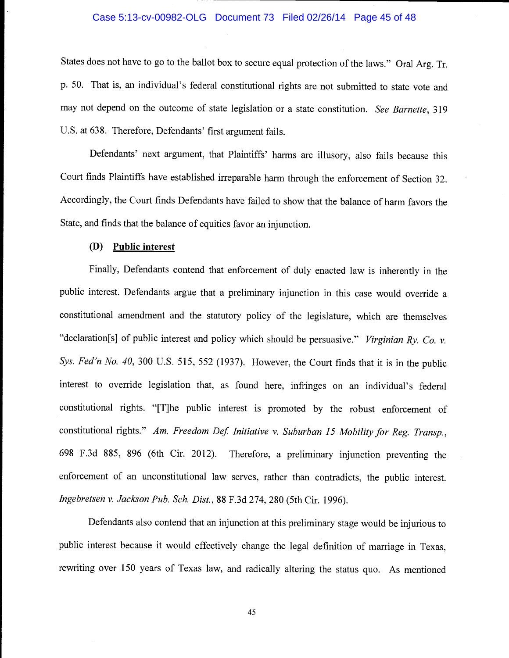#### Case 5:13-cv-00982-OLG Document 73 Filed 02/26/14 Page 45 of 48

States does not have to go to the ballot box to secure equal protection of the laws." Oral Arg. Tr. p. 50. That is, an individual's federal constitutional rights are not submitted to state vote and may not depend on the outcome of state legislation or a state constitution. See Barnette, 319 U.S. at 638. Therefore, Defendants' first argument fails.

Defendants' next argument, that Plaintiffs' harms are illusory, also fails because this Court finds Plaintiffs have established irreparable harm through the enforcement of Section 32. Accordingly, the Court finds Defendants have failed to show that the balance of harm favors the State, and finds that the balance of equities favor an injunction.

## (D) Public interest

Finally, Defendants contend that enforcement of duly enacted law is inherently in the public interest. Defendants argue that a preliminary injunction in this case would override a constitutional amendment and the statutory policy of the legislature, which are themselves "declaration[s] of public interest and policy which should be persuasive." Virginian Ry. Co. v. Sys. Fed'n No. 40, 300 U.S. 515, 552 (1937). However, the Court finds that it is in the public interest to override legislation that, as found here, infringes on an individual's federal constitutional rights. "[T]he public interest is promoted by the robust enforcement of constitutional rights." Am. Freedom Def. Initiative v. Suburban 15 Mobility for Reg. Transp., 698 F.3d 885, 896 (6th Cir. 2012). Therefore, a preliminary injunction preventing the enforcement of an unconstitutional law serves, rather than contradicts, the public interest. Ingebretsen v. Jackson Pub. Sch, Dist., 88 F.3d 274, 280 (5th Cir. 1996).

Defendants also contend that an injunction at this preliminary stage would be injurious to public interest because it would effectively change the legal definition of marriage in Texas, rewriting over 150 years of Texas law, and radically altering the status quo. As mentioned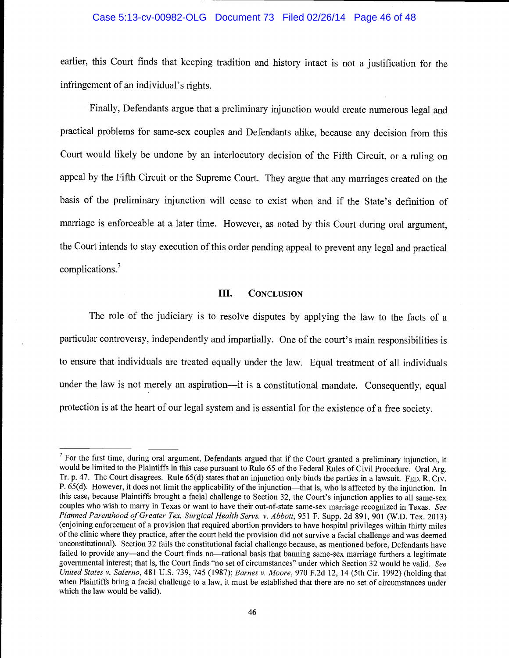## Case 5:13-cv-00982-OLG Document 73 Filed 02/26/14 Page 46 of 48

earlier, this Court finds that keeping tradition and history intact is not a justification for the infringement of an individual's rights.

Finally, Defendants argue that a preliminary injunction would create numerous legal and practical problems for same-sex couples and Defendants alike, because any decision from this Court would likely be undone by an interlocutory decision of the Fifth Circuit, or a ruling on appeal by the Fifth Circuit or the Supreme Court. They argue that any marriages created on the basis of the preliminary injunction will cease to exist when and if the State's definition of marriage is enforceable at a later time. However, as noted by this Court during oral argument, the Court intends to stay execution of this order pending appeal to prevent any legal and practical complications.7

## III. CONCLUSION

The role of the judiciary is to resolve disputes by applying the law to the facts of a particular controversy, independently and impartially. One of the court's main responsibilities is to ensure that individuals are treated equally under the law. Equal treatment of all individuals under the law is not merely an aspiration—it is a constitutional mandate. Consequently, equal protection is at the heart of our legal system and is essential for the existence of a free society.

 $<sup>7</sup>$  For the first time, during oral argument, Defendants argued that if the Court granted a preliminary injunction, it</sup> would be limited to the Plaintiffs in this case pursuant to Rule 65 of the Federal Rules of Civil Procedure. Oral Arg. Tr. p. 47. The Court disagrees. Rule 65(d) states that an injunction only binds the parties in a lawsuit. FED. R. CIV. P. 65(d). However, it does not limit the applicability of the injunction—that is, who is affected by the injunction. In this case, because Plaintiffs brought a facial challenge to Section 32, the Court's injunction applies to all same-sex couples who wish to marry in Texas or want to have their out-of-state same-sex marriage recognized in Texas. See Planned Parenthood of Greater Tex. Surgical Health Servs. v. Abbott, 951 F. Supp. 2d 891, 901 (W.D. Tex. 2013) (enjoining enforcement of a provision that required abortion providers to have hospital privileges within thirty miles of the clinic where they practice, after the court held the provision did not survive a facial challenge and was deemed unconstitutional). Section 32 fails the constitutional facial challenge because, as mentioned before, Defendants have failed to provide any—and the Court finds no—rational basis that banning same-sex marriage furthers a legitimate governmental interest; that is, the Court finds "no set of circumstances" under which Section 32 would be valid. See United States v. Salerno, 481 U.S. 739, 745 (1987); Barnes v. Moore, 970 F.2d 12, 14 (5th Cir. 1992) (holding that when Plaintiffs bring a facial challenge to a law, it must be established that there are no set of circumstances under which the law would be valid).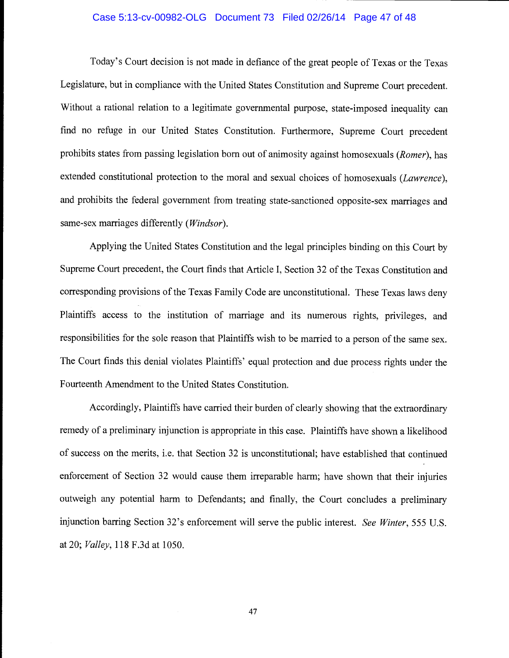## Case 5:13-cv-00982-OLG Document 73 Filed 02/26/14 Page 47 of 48

Today's Court decision is not made in defiance of the great people of Texas or the Texas Legislature, but in compliance with the United States Constitution and Supreme Court precedent. Without a rational relation to a legitimate governmental purpose, state-imposed inequality can find no refuge in our United States Constitution. Furthermore, Supreme Court precedent prohibits states from passing legislation born out of animosity against homosexuals (Romer), has extended constitutional protection to the moral and sexual choices of homosexuals (Lawrence), and prohibits the federal government from treating state-sanctioned opposite-sex marriages and same-sex marriages differently (*Windsor*).

Applying the United States Constitution and the legal principles binding on this Court by Supreme Court precedent, the Court finds that Article I, Section 32 of the Texas Constitution and corresponding provisions of the Texas Family Code are unconstitutional. These Texas laws deny Plaintiffs access to the institution of marriage and its numerous rights, privileges, and responsibilities for the sole reason that Plaintiffs wish to be married to a person of the same sex. The Court finds this denial violates Plaintiffs' equal protection and due process rights under the Fourteenth Amendment to the United States Constitution.

Accordingly, Plaintiffs have carried their burden of clearly showing that the extraordinary remedy of a preliminary injunction is appropriate in this case. Plaintiffs have shown a likelihood of success on the merits, i.e. that Section 32 is unconstitutional; have established that continued enforcement of Section 32 would cause them irreparable harm; have shown that their injuries outweigh any potential harm to Defendants; and finally, the Court concludes a preliminary injunction barring Section 32's enforcement will serve the public interest. See Winter, 555 U.S. at 20; Valley, 118 F.3dat 1050.